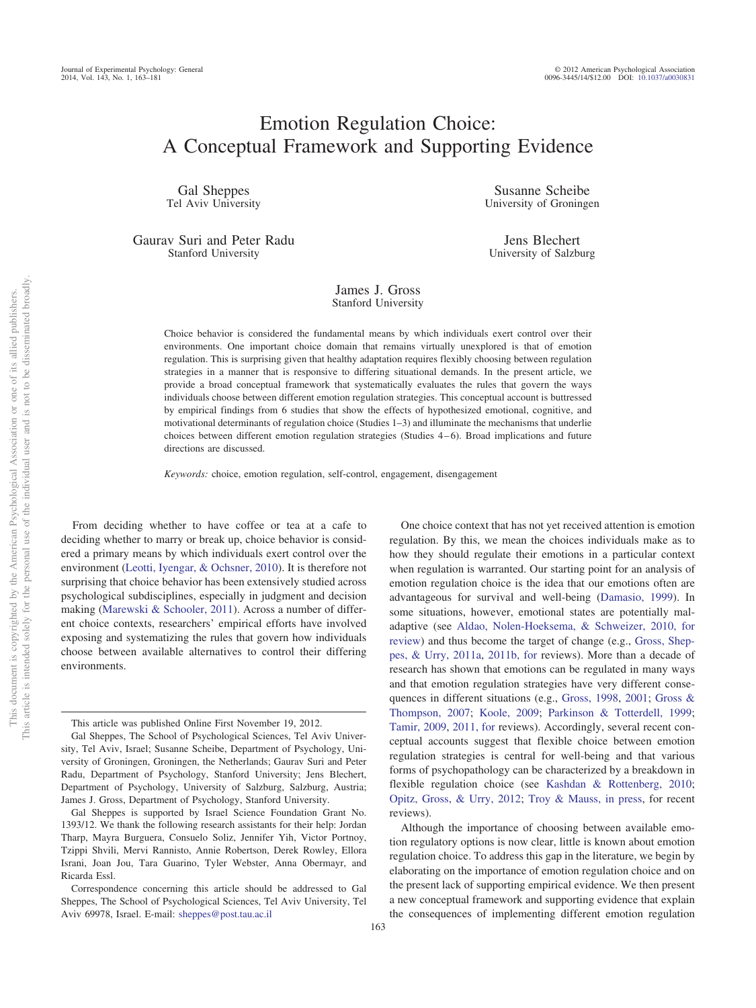# Emotion Regulation Choice: A Conceptual Framework and Supporting Evidence

Gal Sheppes Tel Aviv University

Gaurav Suri and Peter Radu Stanford University

Susanne Scheibe University of Groningen

Jens Blechert University of Salzburg

## James J. Gross Stanford University

Choice behavior is considered the fundamental means by which individuals exert control over their environments. One important choice domain that remains virtually unexplored is that of emotion regulation. This is surprising given that healthy adaptation requires flexibly choosing between regulation strategies in a manner that is responsive to differing situational demands. In the present article, we provide a broad conceptual framework that systematically evaluates the rules that govern the ways individuals choose between different emotion regulation strategies. This conceptual account is buttressed by empirical findings from 6 studies that show the effects of hypothesized emotional, cognitive, and motivational determinants of regulation choice (Studies 1–3) and illuminate the mechanisms that underlie choices between different emotion regulation strategies (Studies 4 – 6). Broad implications and future directions are discussed.

*Keywords:* choice, emotion regulation, self-control, engagement, disengagement

From deciding whether to have coffee or tea at a cafe to deciding whether to marry or break up, choice behavior is considered a primary means by which individuals exert control over the environment [\(Leotti, Iyengar, & Ochsner, 2010\)](#page-17-0). It is therefore not surprising that choice behavior has been extensively studied across psychological subdisciplines, especially in judgment and decision making [\(Marewski & Schooler, 2011\)](#page-17-1). Across a number of different choice contexts, researchers' empirical efforts have involved exposing and systematizing the rules that govern how individuals choose between available alternatives to control their differing environments.

This article was published Online First November 19, 2012.

One choice context that has not yet received attention is emotion regulation. By this, we mean the choices individuals make as to how they should regulate their emotions in a particular context when regulation is warranted. Our starting point for an analysis of emotion regulation choice is the idea that our emotions often are advantageous for survival and well-being [\(Damasio, 1999\)](#page-16-0). In some situations, however, emotional states are potentially maladaptive (see [Aldao, Nolen-Hoeksema, & Schweizer, 2010, for](#page-15-0) [review\)](#page-15-0) and thus become the target of change (e.g., [Gross, Shep](#page-16-1)[pes, & Urry, 2011a,](#page-16-1) [2011b, for](#page-16-2) reviews). More than a decade of research has shown that emotions can be regulated in many ways and that emotion regulation strategies have very different consequences in different situations (e.g., [Gross, 1998,](#page-16-3) [2001;](#page-16-4) [Gross &](#page-16-5) [Thompson, 2007;](#page-16-5) [Koole, 2009;](#page-17-2) [Parkinson & Totterdell, 1999;](#page-17-3) [Tamir, 2009,](#page-18-0) [2011, for](#page-18-1) reviews). Accordingly, several recent conceptual accounts suggest that flexible choice between emotion regulation strategies is central for well-being and that various forms of psychopathology can be characterized by a breakdown in flexible regulation choice (see [Kashdan & Rottenberg, 2010;](#page-16-6) [Opitz, Gross, & Urry, 2012;](#page-17-4) [Troy & Mauss, in press,](#page-18-2) for recent reviews).

Although the importance of choosing between available emotion regulatory options is now clear, little is known about emotion regulation choice. To address this gap in the literature, we begin by elaborating on the importance of emotion regulation choice and on the present lack of supporting empirical evidence. We then present a new conceptual framework and supporting evidence that explain the consequences of implementing different emotion regulation

Gal Sheppes, The School of Psychological Sciences, Tel Aviv University, Tel Aviv, Israel; Susanne Scheibe, Department of Psychology, University of Groningen, Groningen, the Netherlands; Gaurav Suri and Peter Radu, Department of Psychology, Stanford University; Jens Blechert, Department of Psychology, University of Salzburg, Salzburg, Austria; James J. Gross, Department of Psychology, Stanford University.

Gal Sheppes is supported by Israel Science Foundation Grant No. 1393/12. We thank the following research assistants for their help: Jordan Tharp, Mayra Burguera, Consuelo Soliz, Jennifer Yih, Victor Portnoy, Tzippi Shvili, Mervi Rannisto, Annie Robertson, Derek Rowley, Ellora Israni, Joan Jou, Tara Guarino, Tyler Webster, Anna Obermayr, and Ricarda Essl.

Correspondence concerning this article should be addressed to Gal Sheppes, The School of Psychological Sciences, Tel Aviv University, Tel Aviv 69978, Israel. E-mail: [sheppes@post.tau.ac.il](mailto:sheppes@post.tau.ac.il)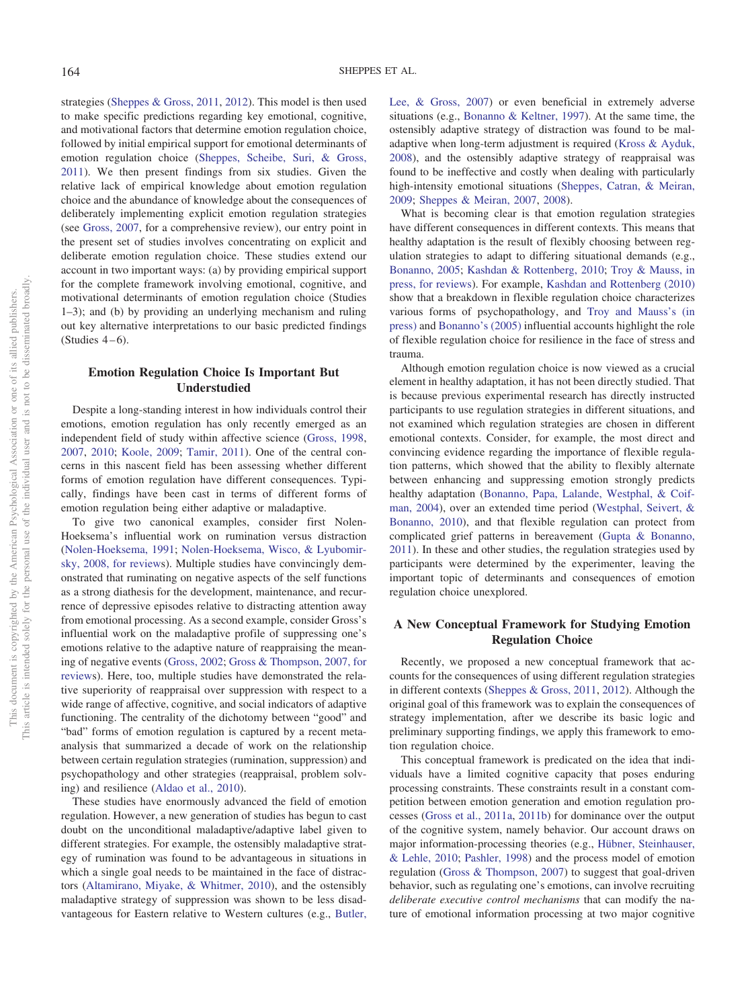strategies [\(Sheppes & Gross, 2011,](#page-18-3) [2012\)](#page-18-4). This model is then used to make specific predictions regarding key emotional, cognitive, and motivational factors that determine emotion regulation choice, followed by initial empirical support for emotional determinants of emotion regulation choice [\(Sheppes, Scheibe, Suri, & Gross,](#page-18-5) [2011\)](#page-18-5). We then present findings from six studies. Given the relative lack of empirical knowledge about emotion regulation choice and the abundance of knowledge about the consequences of deliberately implementing explicit emotion regulation strategies (see [Gross, 2007,](#page-16-7) for a comprehensive review), our entry point in the present set of studies involves concentrating on explicit and deliberate emotion regulation choice. These studies extend our account in two important ways: (a) by providing empirical support for the complete framework involving emotional, cognitive, and motivational determinants of emotion regulation choice (Studies 1–3); and (b) by providing an underlying mechanism and ruling out key alternative interpretations to our basic predicted findings (Studies  $4-6$ ).

# **Emotion Regulation Choice Is Important But Understudied**

Despite a long-standing interest in how individuals control their emotions, emotion regulation has only recently emerged as an independent field of study within affective science [\(Gross, 1998,](#page-16-3) [2007,](#page-16-7) [2010;](#page-16-8) [Koole, 2009;](#page-17-2) [Tamir, 2011\)](#page-18-1). One of the central concerns in this nascent field has been assessing whether different forms of emotion regulation have different consequences. Typically, findings have been cast in terms of different forms of emotion regulation being either adaptive or maladaptive.

To give two canonical examples, consider first Nolen-Hoeksema's influential work on rumination versus distraction [\(Nolen-Hoeksema, 1991;](#page-17-5) [Nolen-Hoeksema, Wisco, & Lyubomir](#page-17-6)[sky, 2008, for reviews](#page-17-6)). Multiple studies have convincingly demonstrated that ruminating on negative aspects of the self functions as a strong diathesis for the development, maintenance, and recurrence of depressive episodes relative to distracting attention away from emotional processing. As a second example, consider Gross's influential work on the maladaptive profile of suppressing one's emotions relative to the adaptive nature of reappraising the meaning of negative events [\(Gross, 2002;](#page-16-9) [Gross & Thompson, 2007, for](#page-16-5) [reviews](#page-16-5)). Here, too, multiple studies have demonstrated the relative superiority of reappraisal over suppression with respect to a wide range of affective, cognitive, and social indicators of adaptive functioning. The centrality of the dichotomy between "good" and "bad" forms of emotion regulation is captured by a recent metaanalysis that summarized a decade of work on the relationship between certain regulation strategies (rumination, suppression) and psychopathology and other strategies (reappraisal, problem solving) and resilience [\(Aldao et al., 2010\)](#page-15-0).

These studies have enormously advanced the field of emotion regulation. However, a new generation of studies has begun to cast doubt on the unconditional maladaptive/adaptive label given to different strategies. For example, the ostensibly maladaptive strategy of rumination was found to be advantageous in situations in which a single goal needs to be maintained in the face of distractors [\(Altamirano, Miyake, & Whitmer, 2010\)](#page-15-1), and the ostensibly maladaptive strategy of suppression was shown to be less disadvantageous for Eastern relative to Western cultures (e.g., [Butler,](#page-16-10)

[Lee, & Gross, 2007\)](#page-16-10) or even beneficial in extremely adverse situations (e.g., [Bonanno & Keltner, 1997\)](#page-15-2). At the same time, the ostensibly adaptive strategy of distraction was found to be maladaptive when long-term adjustment is required [\(Kross & Ayduk,](#page-17-7) [2008\)](#page-17-7), and the ostensibly adaptive strategy of reappraisal was found to be ineffective and costly when dealing with particularly high-intensity emotional situations [\(Sheppes, Catran, & Meiran,](#page-18-6) [2009;](#page-18-6) [Sheppes & Meiran, 2007,](#page-18-7) [2008\)](#page-18-8).

What is becoming clear is that emotion regulation strategies have different consequences in different contexts. This means that healthy adaptation is the result of flexibly choosing between regulation strategies to adapt to differing situational demands (e.g., [Bonanno, 2005;](#page-15-3) [Kashdan & Rottenberg, 2010;](#page-16-6) [Troy & Mauss, in](#page-18-2) [press, for reviews\)](#page-18-2). For example, [Kashdan and Rottenberg \(2010\)](#page-16-6) show that a breakdown in flexible regulation choice characterizes various forms of psychopathology, and [Troy and Mauss's \(in](#page-18-2) [press\)](#page-18-2) and [Bonanno's \(2005\)](#page-15-3) influential accounts highlight the role of flexible regulation choice for resilience in the face of stress and trauma.

Although emotion regulation choice is now viewed as a crucial element in healthy adaptation, it has not been directly studied. That is because previous experimental research has directly instructed participants to use regulation strategies in different situations, and not examined which regulation strategies are chosen in different emotional contexts. Consider, for example, the most direct and convincing evidence regarding the importance of flexible regulation patterns, which showed that the ability to flexibly alternate between enhancing and suppressing emotion strongly predicts healthy adaptation [\(Bonanno, Papa, Lalande, Westphal, & Coif](#page-15-4)[man, 2004\)](#page-15-4), over an extended time period [\(Westphal, Seivert, &](#page-18-9) [Bonanno, 2010\)](#page-18-9), and that flexible regulation can protect from complicated grief patterns in bereavement [\(Gupta & Bonanno,](#page-16-11) [2011\)](#page-16-11). In these and other studies, the regulation strategies used by participants were determined by the experimenter, leaving the important topic of determinants and consequences of emotion regulation choice unexplored.

# **A New Conceptual Framework for Studying Emotion Regulation Choice**

Recently, we proposed a new conceptual framework that accounts for the consequences of using different regulation strategies in different contexts [\(Sheppes & Gross, 2011,](#page-18-3) [2012\)](#page-18-4). Although the original goal of this framework was to explain the consequences of strategy implementation, after we describe its basic logic and preliminary supporting findings, we apply this framework to emotion regulation choice.

This conceptual framework is predicated on the idea that individuals have a limited cognitive capacity that poses enduring processing constraints. These constraints result in a constant competition between emotion generation and emotion regulation processes [\(Gross et al., 2011a,](#page-16-1) [2011b\)](#page-16-2) for dominance over the output of the cognitive system, namely behavior. Our account draws on major information-processing theories (e.g., [Hübner, Steinhauser,](#page-16-12) [& Lehle, 2010;](#page-16-12) [Pashler, 1998\)](#page-17-8) and the process model of emotion regulation [\(Gross & Thompson, 2007\)](#page-16-5) to suggest that goal-driven behavior, such as regulating one's emotions, can involve recruiting *deliberate executive control mechanisms* that can modify the nature of emotional information processing at two major cognitive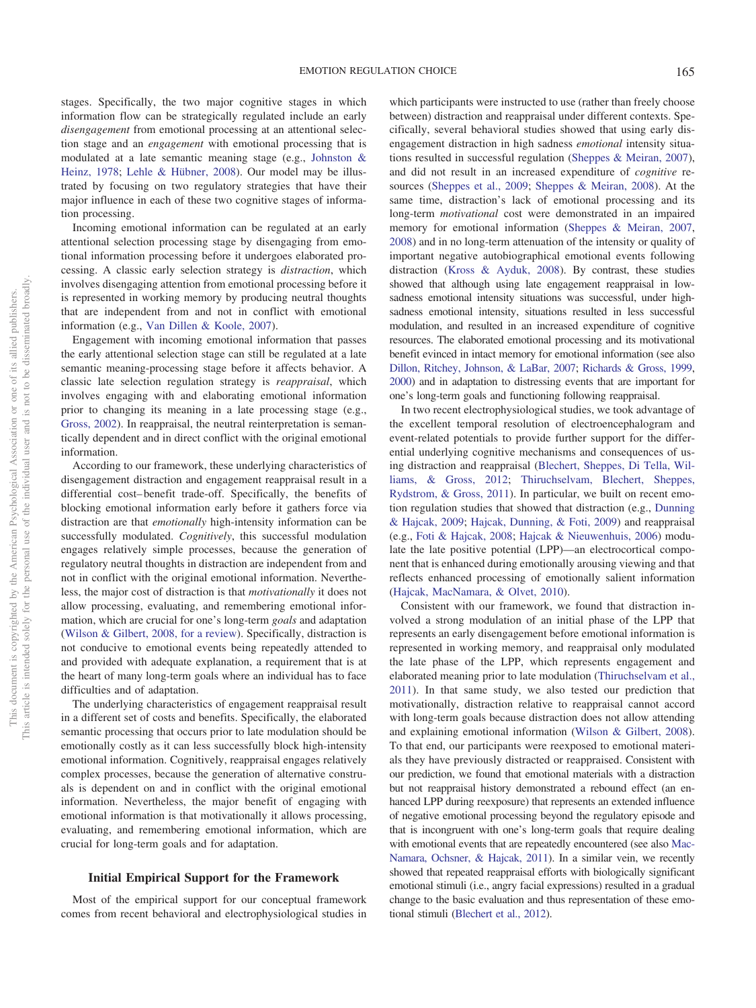stages. Specifically, the two major cognitive stages in which information flow can be strategically regulated include an early *disengagement* from emotional processing at an attentional selection stage and an *engagement* with emotional processing that is modulated at a late semantic meaning stage (e.g., [Johnston &](#page-16-13) [Heinz, 1978;](#page-16-13) [Lehle & Hübner, 2008\)](#page-17-9). Our model may be illustrated by focusing on two regulatory strategies that have their major influence in each of these two cognitive stages of information processing.

Incoming emotional information can be regulated at an early attentional selection processing stage by disengaging from emotional information processing before it undergoes elaborated processing. A classic early selection strategy is *distraction*, which involves disengaging attention from emotional processing before it is represented in working memory by producing neutral thoughts that are independent from and not in conflict with emotional information (e.g., [Van Dillen & Koole, 2007\)](#page-18-10).

Engagement with incoming emotional information that passes the early attentional selection stage can still be regulated at a late semantic meaning-processing stage before it affects behavior. A classic late selection regulation strategy is *reappraisal*, which involves engaging with and elaborating emotional information prior to changing its meaning in a late processing stage (e.g., [Gross, 2002\)](#page-16-9). In reappraisal, the neutral reinterpretation is semantically dependent and in direct conflict with the original emotional information.

According to our framework, these underlying characteristics of disengagement distraction and engagement reappraisal result in a differential cost– benefit trade-off. Specifically, the benefits of blocking emotional information early before it gathers force via distraction are that *emotionally* high-intensity information can be successfully modulated. *Cognitively*, this successful modulation engages relatively simple processes, because the generation of regulatory neutral thoughts in distraction are independent from and not in conflict with the original emotional information. Nevertheless, the major cost of distraction is that *motivationally* it does not allow processing, evaluating, and remembering emotional information, which are crucial for one's long-term *goals* and adaptation [\(Wilson & Gilbert, 2008, for a review\)](#page-18-11). Specifically, distraction is not conducive to emotional events being repeatedly attended to and provided with adequate explanation, a requirement that is at the heart of many long-term goals where an individual has to face difficulties and of adaptation.

The underlying characteristics of engagement reappraisal result in a different set of costs and benefits. Specifically, the elaborated semantic processing that occurs prior to late modulation should be emotionally costly as it can less successfully block high-intensity emotional information. Cognitively, reappraisal engages relatively complex processes, because the generation of alternative construals is dependent on and in conflict with the original emotional information. Nevertheless, the major benefit of engaging with emotional information is that motivationally it allows processing, evaluating, and remembering emotional information, which are crucial for long-term goals and for adaptation.

## **Initial Empirical Support for the Framework**

Most of the empirical support for our conceptual framework comes from recent behavioral and electrophysiological studies in

which participants were instructed to use (rather than freely choose between) distraction and reappraisal under different contexts. Specifically, several behavioral studies showed that using early disengagement distraction in high sadness *emotional* intensity situations resulted in successful regulation [\(Sheppes & Meiran, 2007\)](#page-18-7), and did not result in an increased expenditure of *cognitive* resources [\(Sheppes et al., 2009;](#page-18-6) [Sheppes & Meiran, 2008\)](#page-18-8). At the same time, distraction's lack of emotional processing and its long-term *motivational* cost were demonstrated in an impaired memory for emotional information [\(Sheppes & Meiran, 2007,](#page-18-7) [2008\)](#page-18-8) and in no long-term attenuation of the intensity or quality of important negative autobiographical emotional events following distraction [\(Kross & Ayduk, 2008\)](#page-17-7). By contrast, these studies showed that although using late engagement reappraisal in lowsadness emotional intensity situations was successful, under highsadness emotional intensity, situations resulted in less successful modulation, and resulted in an increased expenditure of cognitive resources. The elaborated emotional processing and its motivational benefit evinced in intact memory for emotional information (see also [Dillon, Ritchey, Johnson, & LaBar, 2007;](#page-16-14) [Richards & Gross, 1999,](#page-17-10) [2000\)](#page-17-11) and in adaptation to distressing events that are important for one's long-term goals and functioning following reappraisal.

In two recent electrophysiological studies, we took advantage of the excellent temporal resolution of electroencephalogram and event-related potentials to provide further support for the differential underlying cognitive mechanisms and consequences of using distraction and reappraisal [\(Blechert, Sheppes, Di Tella, Wil](#page-15-5)[liams, & Gross, 2012;](#page-15-5) [Thiruchselvam, Blechert, Sheppes,](#page-18-12) [Rydstrom, & Gross, 2011\)](#page-18-12). In particular, we built on recent emotion regulation studies that showed that distraction (e.g., [Dunning](#page-16-15) [& Hajcak, 2009;](#page-16-15) [Hajcak, Dunning, & Foti, 2009\)](#page-16-16) and reappraisal (e.g., [Foti & Hajcak, 2008;](#page-16-17) [Hajcak & Nieuwenhuis, 2006\)](#page-16-18) modulate the late positive potential (LPP)—an electrocortical component that is enhanced during emotionally arousing viewing and that reflects enhanced processing of emotionally salient information [\(Hajcak, MacNamara, & Olvet, 2010\)](#page-16-19).

Consistent with our framework, we found that distraction involved a strong modulation of an initial phase of the LPP that represents an early disengagement before emotional information is represented in working memory, and reappraisal only modulated the late phase of the LPP, which represents engagement and elaborated meaning prior to late modulation [\(Thiruchselvam et al.,](#page-18-12) [2011\)](#page-18-12). In that same study, we also tested our prediction that motivationally, distraction relative to reappraisal cannot accord with long-term goals because distraction does not allow attending and explaining emotional information [\(Wilson & Gilbert, 2008\)](#page-18-11). To that end, our participants were reexposed to emotional materials they have previously distracted or reappraised. Consistent with our prediction, we found that emotional materials with a distraction but not reappraisal history demonstrated a rebound effect (an enhanced LPP during reexposure) that represents an extended influence of negative emotional processing beyond the regulatory episode and that is incongruent with one's long-term goals that require dealing with emotional events that are repeatedly encountered (see also [Mac-](#page-17-12)[Namara, Ochsner, & Hajcak, 2011\)](#page-17-12). In a similar vein, we recently showed that repeated reappraisal efforts with biologically significant emotional stimuli (i.e., angry facial expressions) resulted in a gradual change to the basic evaluation and thus representation of these emotional stimuli [\(Blechert et al., 2012\)](#page-15-5).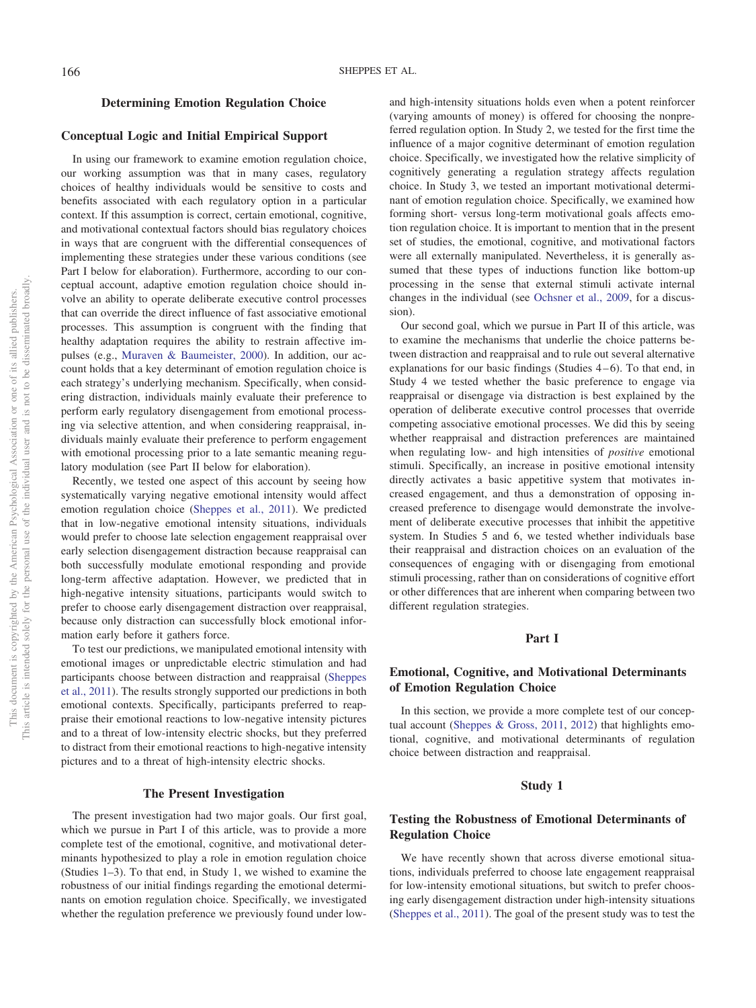## **Determining Emotion Regulation Choice**

## **Conceptual Logic and Initial Empirical Support**

In using our framework to examine emotion regulation choice, our working assumption was that in many cases, regulatory choices of healthy individuals would be sensitive to costs and benefits associated with each regulatory option in a particular context. If this assumption is correct, certain emotional, cognitive, and motivational contextual factors should bias regulatory choices in ways that are congruent with the differential consequences of implementing these strategies under these various conditions (see Part I below for elaboration). Furthermore, according to our conceptual account, adaptive emotion regulation choice should involve an ability to operate deliberate executive control processes that can override the direct influence of fast associative emotional processes. This assumption is congruent with the finding that healthy adaptation requires the ability to restrain affective impulses (e.g., [Muraven & Baumeister, 2000\)](#page-17-13). In addition, our account holds that a key determinant of emotion regulation choice is each strategy's underlying mechanism. Specifically, when considering distraction, individuals mainly evaluate their preference to perform early regulatory disengagement from emotional processing via selective attention, and when considering reappraisal, individuals mainly evaluate their preference to perform engagement with emotional processing prior to a late semantic meaning regulatory modulation (see Part II below for elaboration).

Recently, we tested one aspect of this account by seeing how systematically varying negative emotional intensity would affect emotion regulation choice [\(Sheppes et al., 2011\)](#page-18-5). We predicted that in low-negative emotional intensity situations, individuals would prefer to choose late selection engagement reappraisal over early selection disengagement distraction because reappraisal can both successfully modulate emotional responding and provide long-term affective adaptation. However, we predicted that in high-negative intensity situations, participants would switch to prefer to choose early disengagement distraction over reappraisal, because only distraction can successfully block emotional information early before it gathers force.

To test our predictions, we manipulated emotional intensity with emotional images or unpredictable electric stimulation and had participants choose between distraction and reappraisal [\(Sheppes](#page-18-5) [et al., 2011\)](#page-18-5). The results strongly supported our predictions in both emotional contexts. Specifically, participants preferred to reappraise their emotional reactions to low-negative intensity pictures and to a threat of low-intensity electric shocks, but they preferred to distract from their emotional reactions to high-negative intensity pictures and to a threat of high-intensity electric shocks.

## **The Present Investigation**

The present investigation had two major goals. Our first goal, which we pursue in Part I of this article, was to provide a more complete test of the emotional, cognitive, and motivational determinants hypothesized to play a role in emotion regulation choice (Studies 1–3). To that end, in Study 1, we wished to examine the robustness of our initial findings regarding the emotional determinants on emotion regulation choice. Specifically, we investigated whether the regulation preference we previously found under lowand high-intensity situations holds even when a potent reinforcer (varying amounts of money) is offered for choosing the nonpreferred regulation option. In Study 2, we tested for the first time the influence of a major cognitive determinant of emotion regulation choice. Specifically, we investigated how the relative simplicity of cognitively generating a regulation strategy affects regulation choice. In Study 3, we tested an important motivational determinant of emotion regulation choice. Specifically, we examined how forming short- versus long-term motivational goals affects emotion regulation choice. It is important to mention that in the present set of studies, the emotional, cognitive, and motivational factors were all externally manipulated. Nevertheless, it is generally assumed that these types of inductions function like bottom-up processing in the sense that external stimuli activate internal changes in the individual (see [Ochsner et al., 2009,](#page-17-14) for a discussion).

Our second goal, which we pursue in Part II of this article, was to examine the mechanisms that underlie the choice patterns between distraction and reappraisal and to rule out several alternative explanations for our basic findings (Studies  $4-6$ ). To that end, in Study 4 we tested whether the basic preference to engage via reappraisal or disengage via distraction is best explained by the operation of deliberate executive control processes that override competing associative emotional processes. We did this by seeing whether reappraisal and distraction preferences are maintained when regulating low- and high intensities of *positive* emotional stimuli. Specifically, an increase in positive emotional intensity directly activates a basic appetitive system that motivates increased engagement, and thus a demonstration of opposing increased preference to disengage would demonstrate the involvement of deliberate executive processes that inhibit the appetitive system. In Studies 5 and 6, we tested whether individuals base their reappraisal and distraction choices on an evaluation of the consequences of engaging with or disengaging from emotional stimuli processing, rather than on considerations of cognitive effort or other differences that are inherent when comparing between two different regulation strategies.

## **Part I**

# **Emotional, Cognitive, and Motivational Determinants of Emotion Regulation Choice**

In this section, we provide a more complete test of our conceptual account [\(Sheppes & Gross, 2011,](#page-18-3) [2012\)](#page-18-4) that highlights emotional, cognitive, and motivational determinants of regulation choice between distraction and reappraisal.

## **Study 1**

## **Testing the Robustness of Emotional Determinants of Regulation Choice**

We have recently shown that across diverse emotional situations, individuals preferred to choose late engagement reappraisal for low-intensity emotional situations, but switch to prefer choosing early disengagement distraction under high-intensity situations [\(Sheppes et al., 2011\)](#page-18-5). The goal of the present study was to test the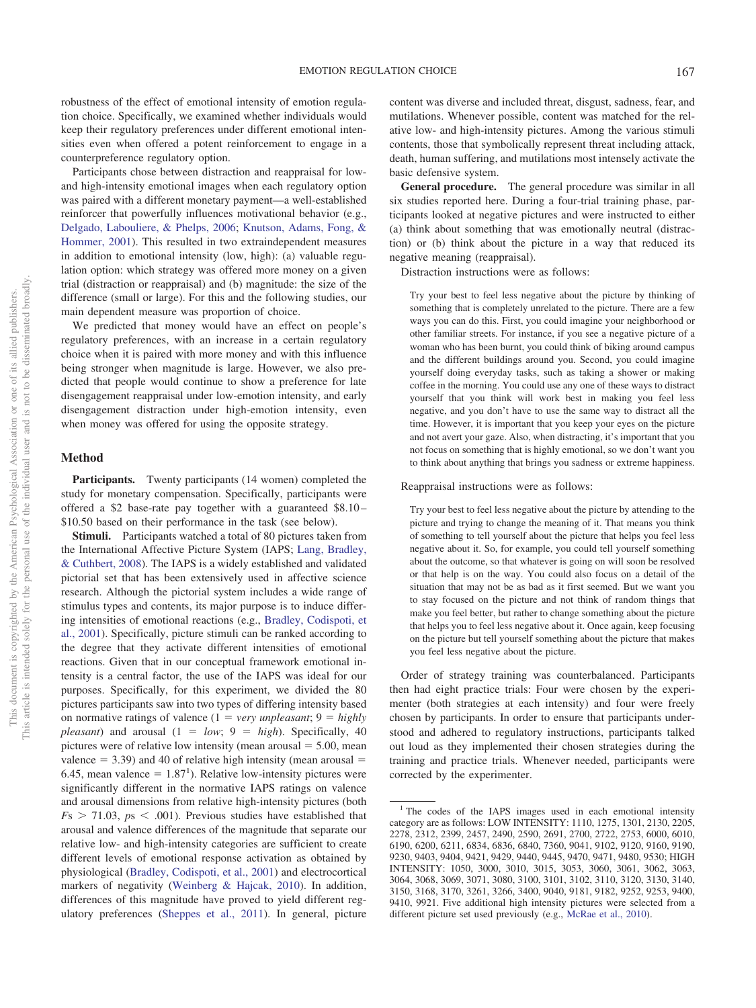robustness of the effect of emotional intensity of emotion regulation choice. Specifically, we examined whether individuals would keep their regulatory preferences under different emotional intensities even when offered a potent reinforcement to engage in a counterpreference regulatory option.

Participants chose between distraction and reappraisal for lowand high-intensity emotional images when each regulatory option was paired with a different monetary payment—a well-established reinforcer that powerfully influences motivational behavior (e.g., [Delgado, Labouliere, & Phelps, 2006;](#page-16-20) [Knutson, Adams, Fong, &](#page-17-15) [Hommer, 2001\)](#page-17-15). This resulted in two extraindependent measures in addition to emotional intensity (low, high): (a) valuable regulation option: which strategy was offered more money on a given trial (distraction or reappraisal) and (b) magnitude: the size of the difference (small or large). For this and the following studies, our main dependent measure was proportion of choice.

We predicted that money would have an effect on people's regulatory preferences, with an increase in a certain regulatory choice when it is paired with more money and with this influence being stronger when magnitude is large. However, we also predicted that people would continue to show a preference for late disengagement reappraisal under low-emotion intensity, and early disengagement distraction under high-emotion intensity, even when money was offered for using the opposite strategy.

## **Method**

**Participants.** Twenty participants (14 women) completed the study for monetary compensation. Specifically, participants were offered a \$2 base-rate pay together with a guaranteed \$8.10 – \$10.50 based on their performance in the task (see below).

**Stimuli.** Participants watched a total of 80 pictures taken from the International Affective Picture System (IAPS; [Lang, Bradley,](#page-17-16) [& Cuthbert, 2008\)](#page-17-16). The IAPS is a widely established and validated pictorial set that has been extensively used in affective science research. Although the pictorial system includes a wide range of stimulus types and contents, its major purpose is to induce differing intensities of emotional reactions (e.g., [Bradley, Codispoti, et](#page-15-6) [al., 2001\)](#page-15-6). Specifically, picture stimuli can be ranked according to the degree that they activate different intensities of emotional reactions. Given that in our conceptual framework emotional intensity is a central factor, the use of the IAPS was ideal for our purposes. Specifically, for this experiment, we divided the 80 pictures participants saw into two types of differing intensity based on normative ratings of valence  $(1 = very \text{unpleasant}; 9 = \text{highly})$ *pleasant*) and arousal  $(1 = low; 9 = high)$ . Specifically, 40 pictures were of relative low intensity (mean arousal  $=$  5.00, mean valence  $=$  3.39) and 40 of relative high intensity (mean arousal  $=$ 6.45, mean valence =  $1.87<sup>1</sup>$ ). Relative low-intensity pictures were significantly different in the normative IAPS ratings on valence and arousal dimensions from relative high-intensity pictures (both  $F_s > 71.03$ ,  $p_s < .001$ ). Previous studies have established that arousal and valence differences of the magnitude that separate our relative low- and high-intensity categories are sufficient to create different levels of emotional response activation as obtained by physiological [\(Bradley, Codispoti, et al., 2001\)](#page-15-6) and electrocortical markers of negativity [\(Weinberg & Hajcak, 2010\)](#page-18-13). In addition, differences of this magnitude have proved to yield different regulatory preferences [\(Sheppes et al., 2011\)](#page-18-5). In general, picture

content was diverse and included threat, disgust, sadness, fear, and mutilations. Whenever possible, content was matched for the relative low- and high-intensity pictures. Among the various stimuli contents, those that symbolically represent threat including attack, death, human suffering, and mutilations most intensely activate the basic defensive system.

**General procedure.** The general procedure was similar in all six studies reported here. During a four-trial training phase, participants looked at negative pictures and were instructed to either (a) think about something that was emotionally neutral (distraction) or (b) think about the picture in a way that reduced its negative meaning (reappraisal).

Distraction instructions were as follows:

Try your best to feel less negative about the picture by thinking of something that is completely unrelated to the picture. There are a few ways you can do this. First, you could imagine your neighborhood or other familiar streets. For instance, if you see a negative picture of a woman who has been burnt, you could think of biking around campus and the different buildings around you. Second, you could imagine yourself doing everyday tasks, such as taking a shower or making coffee in the morning. You could use any one of these ways to distract yourself that you think will work best in making you feel less negative, and you don't have to use the same way to distract all the time. However, it is important that you keep your eyes on the picture and not avert your gaze. Also, when distracting, it's important that you not focus on something that is highly emotional, so we don't want you to think about anything that brings you sadness or extreme happiness.

Reappraisal instructions were as follows:

Try your best to feel less negative about the picture by attending to the picture and trying to change the meaning of it. That means you think of something to tell yourself about the picture that helps you feel less negative about it. So, for example, you could tell yourself something about the outcome, so that whatever is going on will soon be resolved or that help is on the way. You could also focus on a detail of the situation that may not be as bad as it first seemed. But we want you to stay focused on the picture and not think of random things that make you feel better, but rather to change something about the picture that helps you to feel less negative about it. Once again, keep focusing on the picture but tell yourself something about the picture that makes you feel less negative about the picture.

Order of strategy training was counterbalanced. Participants then had eight practice trials: Four were chosen by the experimenter (both strategies at each intensity) and four were freely chosen by participants. In order to ensure that participants understood and adhered to regulatory instructions, participants talked out loud as they implemented their chosen strategies during the training and practice trials. Whenever needed, participants were corrected by the experimenter.

<sup>&</sup>lt;sup>1</sup> The codes of the IAPS images used in each emotional intensity category are as follows: LOW INTENSITY: 1110, 1275, 1301, 2130, 2205, 2278, 2312, 2399, 2457, 2490, 2590, 2691, 2700, 2722, 2753, 6000, 6010, 6190, 6200, 6211, 6834, 6836, 6840, 7360, 9041, 9102, 9120, 9160, 9190, 9230, 9403, 9404, 9421, 9429, 9440, 9445, 9470, 9471, 9480, 9530; HIGH INTENSITY: 1050, 3000, 3010, 3015, 3053, 3060, 3061, 3062, 3063, 3064, 3068, 3069, 3071, 3080, 3100, 3101, 3102, 3110, 3120, 3130, 3140, 3150, 3168, 3170, 3261, 3266, 3400, 9040, 9181, 9182, 9252, 9253, 9400, 9410, 9921. Five additional high intensity pictures were selected from a different picture set used previously (e.g., [McRae et al., 2010\)](#page-17-17).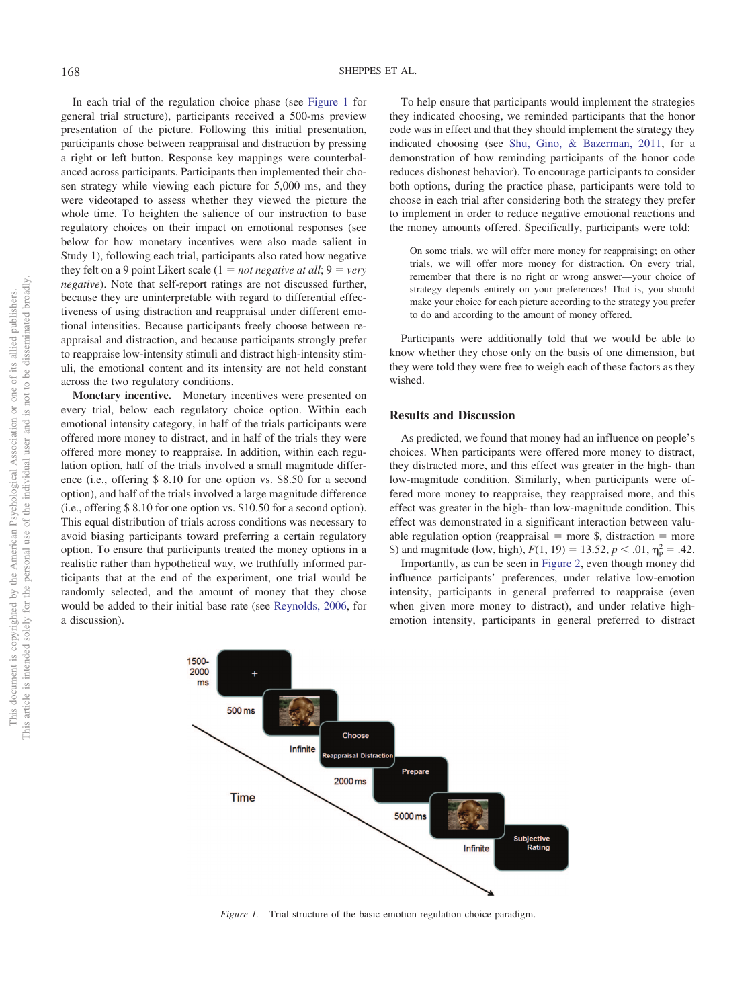In each trial of the regulation choice phase (see [Figure 1](#page-5-0) for general trial structure), participants received a 500-ms preview presentation of the picture. Following this initial presentation, participants chose between reappraisal and distraction by pressing a right or left button. Response key mappings were counterbalanced across participants. Participants then implemented their chosen strategy while viewing each picture for 5,000 ms, and they were videotaped to assess whether they viewed the picture the whole time. To heighten the salience of our instruction to base regulatory choices on their impact on emotional responses (see below for how monetary incentives were also made salient in Study 1), following each trial, participants also rated how negative they felt on a 9 point Likert scale  $(1 = not negative at all; 9 = very$ *negative*). Note that self-report ratings are not discussed further, because they are uninterpretable with regard to differential effectiveness of using distraction and reappraisal under different emotional intensities. Because participants freely choose between reappraisal and distraction, and because participants strongly prefer to reappraise low-intensity stimuli and distract high-intensity stimuli, the emotional content and its intensity are not held constant across the two regulatory conditions.

**Monetary incentive.** Monetary incentives were presented on every trial, below each regulatory choice option. Within each emotional intensity category, in half of the trials participants were offered more money to distract, and in half of the trials they were offered more money to reappraise. In addition, within each regulation option, half of the trials involved a small magnitude difference (i.e., offering \$ 8.10 for one option vs. \$8.50 for a second option), and half of the trials involved a large magnitude difference (i.e., offering \$ 8.10 for one option vs. \$10.50 for a second option). This equal distribution of trials across conditions was necessary to avoid biasing participants toward preferring a certain regulatory option. To ensure that participants treated the money options in a realistic rather than hypothetical way, we truthfully informed participants that at the end of the experiment, one trial would be randomly selected, and the amount of money that they chose would be added to their initial base rate (see [Reynolds, 2006,](#page-17-18) for a discussion).

To help ensure that participants would implement the strategies they indicated choosing, we reminded participants that the honor code was in effect and that they should implement the strategy they indicated choosing (see [Shu, Gino, & Bazerman, 2011,](#page-18-14) for a demonstration of how reminding participants of the honor code reduces dishonest behavior). To encourage participants to consider both options, during the practice phase, participants were told to choose in each trial after considering both the strategy they prefer to implement in order to reduce negative emotional reactions and the money amounts offered. Specifically, participants were told:

On some trials, we will offer more money for reappraising; on other trials, we will offer more money for distraction. On every trial, remember that there is no right or wrong answer—your choice of strategy depends entirely on your preferences! That is, you should make your choice for each picture according to the strategy you prefer to do and according to the amount of money offered.

Participants were additionally told that we would be able to know whether they chose only on the basis of one dimension, but they were told they were free to weigh each of these factors as they wished.

#### **Results and Discussion**

As predicted, we found that money had an influence on people's choices. When participants were offered more money to distract, they distracted more, and this effect was greater in the high- than low-magnitude condition. Similarly, when participants were offered more money to reappraise, they reappraised more, and this effect was greater in the high- than low-magnitude condition. This effect was demonstrated in a significant interaction between valuable regulation option (reappraisal  $=$  more  $\hat{\mathcal{S}}$ , distraction  $=$  more \$) and magnitude (low, high),  $F(1, 19) = 13.52, p < .01, \eta_{p}^{2} = .42$ .

Importantly, as can be seen in [Figure 2,](#page-6-0) even though money did influence participants' preferences, under relative low-emotion intensity, participants in general preferred to reappraise (even when given more money to distract), and under relative highemotion intensity, participants in general preferred to distract



<span id="page-5-0"></span>*Figure 1.* Trial structure of the basic emotion regulation choice paradigm.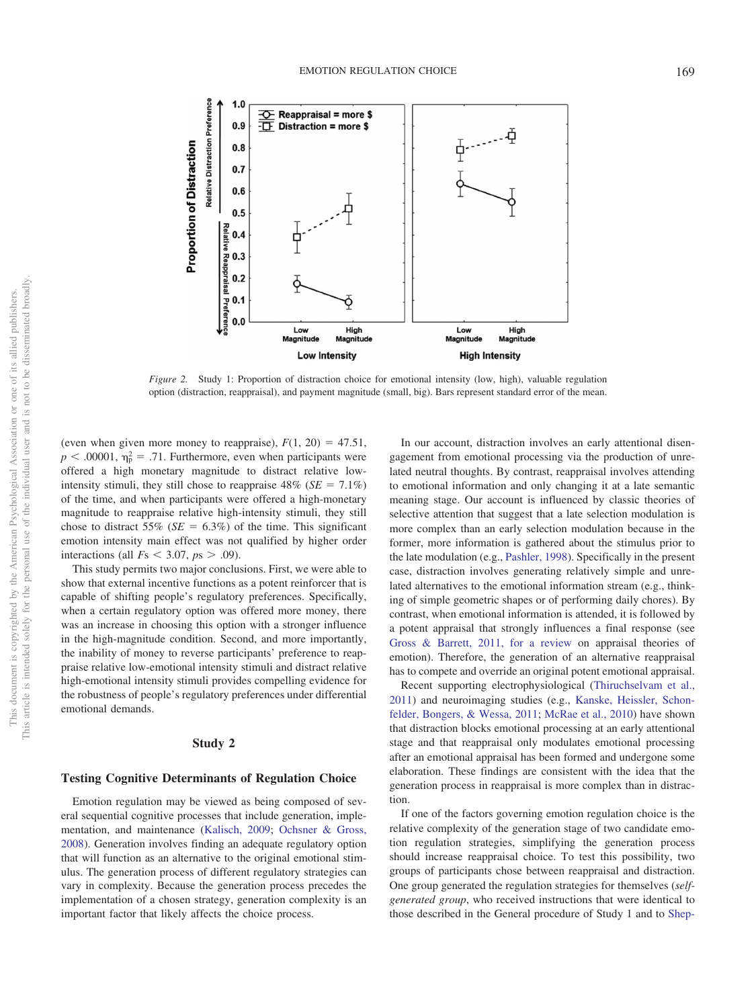

<span id="page-6-0"></span>*Figure 2.* Study 1: Proportion of distraction choice for emotional intensity (low, high), valuable regulation option (distraction, reappraisal), and payment magnitude (small, big). Bars represent standard error of the mean.

(even when given more money to reappraise),  $F(1, 20) = 47.51$ ,  $p < .00001$ ,  $\eta_p^2 = .71$ . Furthermore, even when participants were offered a high monetary magnitude to distract relative lowintensity stimuli, they still chose to reappraise  $48\%$  (*SE* = 7.1%) of the time, and when participants were offered a high-monetary magnitude to reappraise relative high-intensity stimuli, they still chose to distract 55% ( $SE = 6.3\%$ ) of the time. This significant emotion intensity main effect was not qualified by higher order interactions (all  $Fs < 3.07$ ,  $ps > .09$ ).

This study permits two major conclusions. First, we were able to show that external incentive functions as a potent reinforcer that is capable of shifting people's regulatory preferences. Specifically, when a certain regulatory option was offered more money, there was an increase in choosing this option with a stronger influence in the high-magnitude condition. Second, and more importantly, the inability of money to reverse participants' preference to reappraise relative low-emotional intensity stimuli and distract relative high-emotional intensity stimuli provides compelling evidence for the robustness of people's regulatory preferences under differential emotional demands.

#### **Study 2**

#### **Testing Cognitive Determinants of Regulation Choice**

Emotion regulation may be viewed as being composed of several sequential cognitive processes that include generation, implementation, and maintenance [\(Kalisch, 2009;](#page-16-21) [Ochsner & Gross,](#page-17-19) [2008\)](#page-17-19). Generation involves finding an adequate regulatory option that will function as an alternative to the original emotional stimulus. The generation process of different regulatory strategies can vary in complexity. Because the generation process precedes the implementation of a chosen strategy, generation complexity is an important factor that likely affects the choice process.

In our account, distraction involves an early attentional disengagement from emotional processing via the production of unrelated neutral thoughts. By contrast, reappraisal involves attending to emotional information and only changing it at a late semantic meaning stage. Our account is influenced by classic theories of selective attention that suggest that a late selection modulation is more complex than an early selection modulation because in the former, more information is gathered about the stimulus prior to the late modulation (e.g., [Pashler, 1998\)](#page-17-8). Specifically in the present case, distraction involves generating relatively simple and unrelated alternatives to the emotional information stream (e.g., thinking of simple geometric shapes or of performing daily chores). By contrast, when emotional information is attended, it is followed by a potent appraisal that strongly influences a final response (see [Gross & Barrett, 2011, for a review](#page-16-22) on appraisal theories of emotion). Therefore, the generation of an alternative reappraisal has to compete and override an original potent emotional appraisal.

Recent supporting electrophysiological [\(Thiruchselvam et al.,](#page-18-12) [2011\)](#page-18-12) and neuroimaging studies (e.g., [Kanske, Heissler, Schon](#page-16-23)[felder, Bongers, & Wessa, 2011;](#page-16-23) [McRae et al., 2010\)](#page-17-17) have shown that distraction blocks emotional processing at an early attentional stage and that reappraisal only modulates emotional processing after an emotional appraisal has been formed and undergone some elaboration. These findings are consistent with the idea that the generation process in reappraisal is more complex than in distraction.

If one of the factors governing emotion regulation choice is the relative complexity of the generation stage of two candidate emotion regulation strategies, simplifying the generation process should increase reappraisal choice. To test this possibility, two groups of participants chose between reappraisal and distraction. One group generated the regulation strategies for themselves (*selfgenerated group*, who received instructions that were identical to those described in the General procedure of Study 1 and to [Shep-](#page-18-5)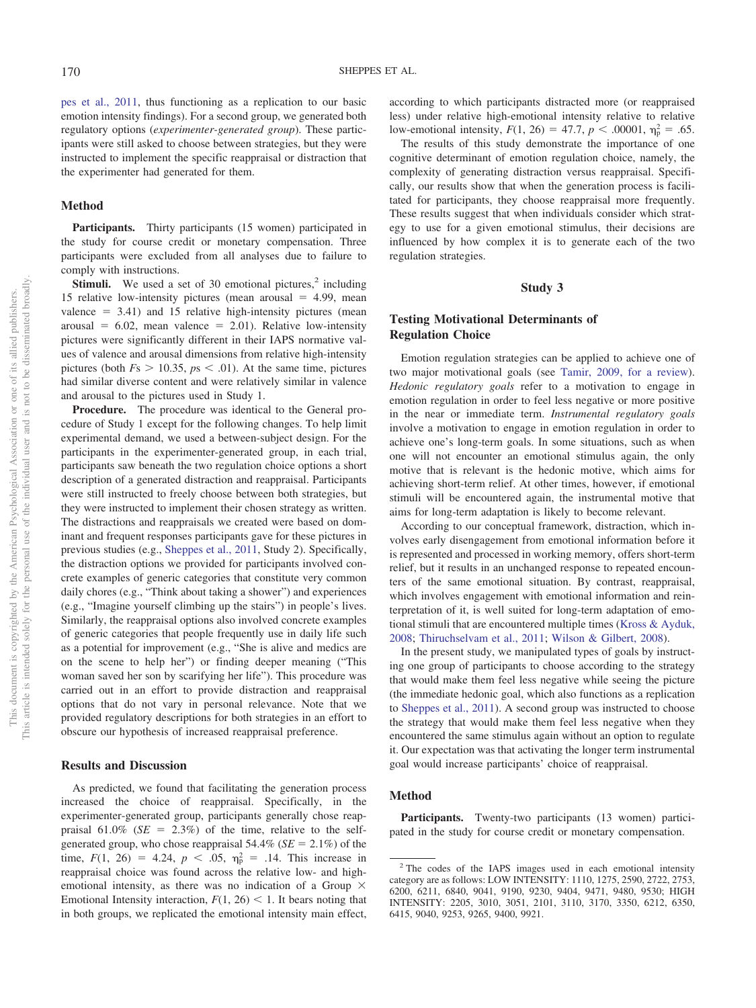[pes et al., 2011,](#page-18-5) thus functioning as a replication to our basic emotion intensity findings). For a second group, we generated both regulatory options (*experimenter-generated group*). These participants were still asked to choose between strategies, but they were instructed to implement the specific reappraisal or distraction that the experimenter had generated for them.

#### **Method**

Participants. Thirty participants (15 women) participated in the study for course credit or monetary compensation. Three participants were excluded from all analyses due to failure to comply with instructions.

**Stimuli.** We used a set of 30 emotional pictures, $2$  including 15 relative low-intensity pictures (mean arousal  $=$  4.99, mean valence  $= 3.41$ ) and 15 relative high-intensity pictures (mean arousal  $= 6.02$ , mean valence  $= 2.01$ ). Relative low-intensity pictures were significantly different in their IAPS normative values of valence and arousal dimensions from relative high-intensity pictures (both  $Fs > 10.35$ ,  $ps < .01$ ). At the same time, pictures had similar diverse content and were relatively similar in valence and arousal to the pictures used in Study 1.

**Procedure.** The procedure was identical to the General procedure of Study 1 except for the following changes. To help limit experimental demand, we used a between-subject design. For the participants in the experimenter-generated group, in each trial, participants saw beneath the two regulation choice options a short description of a generated distraction and reappraisal. Participants were still instructed to freely choose between both strategies, but they were instructed to implement their chosen strategy as written. The distractions and reappraisals we created were based on dominant and frequent responses participants gave for these pictures in previous studies (e.g., [Sheppes et al., 2011,](#page-18-5) Study 2). Specifically, the distraction options we provided for participants involved concrete examples of generic categories that constitute very common daily chores (e.g., "Think about taking a shower") and experiences (e.g., "Imagine yourself climbing up the stairs") in people's lives. Similarly, the reappraisal options also involved concrete examples of generic categories that people frequently use in daily life such as a potential for improvement (e.g., "She is alive and medics are on the scene to help her") or finding deeper meaning ("This woman saved her son by scarifying her life"). This procedure was carried out in an effort to provide distraction and reappraisal options that do not vary in personal relevance. Note that we provided regulatory descriptions for both strategies in an effort to obscure our hypothesis of increased reappraisal preference.

## **Results and Discussion**

As predicted, we found that facilitating the generation process increased the choice of reappraisal. Specifically, in the experimenter-generated group, participants generally chose reappraisal  $61.0\%$  (*SE* = 2.3%) of the time, relative to the selfgenerated group, who chose reappraisal  $54.4\%$  ( $SE = 2.1\%$ ) of the time,  $F(1, 26) = 4.24$ ,  $p < .05$ ,  $\eta_p^2 = .14$ . This increase in reappraisal choice was found across the relative low- and highemotional intensity, as there was no indication of a Group  $\times$ Emotional Intensity interaction,  $F(1, 26) < 1$ . It bears noting that in both groups, we replicated the emotional intensity main effect, according to which participants distracted more (or reappraised less) under relative high-emotional intensity relative to relative low-emotional intensity,  $F(1, 26) = 47.7$ ,  $p < .00001$ ,  $\eta_p^2 = .65$ .

The results of this study demonstrate the importance of one cognitive determinant of emotion regulation choice, namely, the complexity of generating distraction versus reappraisal. Specifically, our results show that when the generation process is facilitated for participants, they choose reappraisal more frequently. These results suggest that when individuals consider which strategy to use for a given emotional stimulus, their decisions are influenced by how complex it is to generate each of the two regulation strategies.

## **Study 3**

## **Testing Motivational Determinants of Regulation Choice**

Emotion regulation strategies can be applied to achieve one of two major motivational goals (see [Tamir, 2009, for a review\)](#page-18-0). *Hedonic regulatory goals* refer to a motivation to engage in emotion regulation in order to feel less negative or more positive in the near or immediate term. *Instrumental regulatory goals* involve a motivation to engage in emotion regulation in order to achieve one's long-term goals. In some situations, such as when one will not encounter an emotional stimulus again, the only motive that is relevant is the hedonic motive, which aims for achieving short-term relief. At other times, however, if emotional stimuli will be encountered again, the instrumental motive that aims for long-term adaptation is likely to become relevant.

According to our conceptual framework, distraction, which involves early disengagement from emotional information before it is represented and processed in working memory, offers short-term relief, but it results in an unchanged response to repeated encounters of the same emotional situation. By contrast, reappraisal, which involves engagement with emotional information and reinterpretation of it, is well suited for long-term adaptation of emotional stimuli that are encountered multiple times [\(Kross & Ayduk,](#page-17-7) [2008;](#page-17-7) [Thiruchselvam et al., 2011;](#page-18-12) [Wilson & Gilbert, 2008\)](#page-18-11).

In the present study, we manipulated types of goals by instructing one group of participants to choose according to the strategy that would make them feel less negative while seeing the picture (the immediate hedonic goal, which also functions as a replication to [Sheppes et al., 2011\)](#page-18-5). A second group was instructed to choose the strategy that would make them feel less negative when they encountered the same stimulus again without an option to regulate it. Our expectation was that activating the longer term instrumental goal would increase participants' choice of reappraisal.

## **Method**

Participants. Twenty-two participants (13 women) participated in the study for course credit or monetary compensation.

<sup>&</sup>lt;sup>2</sup> The codes of the IAPS images used in each emotional intensity category are as follows: LOW INTENSITY: 1110, 1275, 2590, 2722, 2753, 6200, 6211, 6840, 9041, 9190, 9230, 9404, 9471, 9480, 9530; HIGH INTENSITY: 2205, 3010, 3051, 2101, 3110, 3170, 3350, 6212, 6350, 6415, 9040, 9253, 9265, 9400, 9921.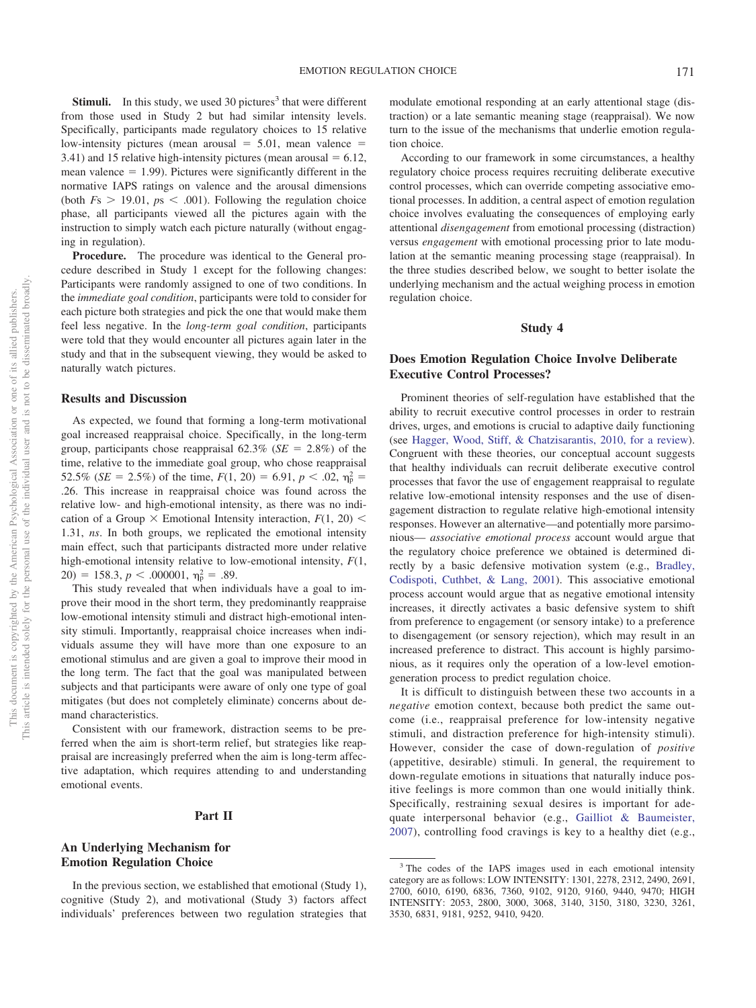**Stimuli.** In this study, we used 30 pictures<sup>3</sup> that were different from those used in Study 2 but had similar intensity levels. Specifically, participants made regulatory choices to 15 relative low-intensity pictures (mean arousal  $= 5.01$ , mean valence  $=$ 3.41) and 15 relative high-intensity pictures (mean arousal  $= 6.12$ , mean valence  $= 1.99$ ). Pictures were significantly different in the normative IAPS ratings on valence and the arousal dimensions (both  $Fs > 19.01$ ,  $ps < .001$ ). Following the regulation choice phase, all participants viewed all the pictures again with the instruction to simply watch each picture naturally (without engaging in regulation).

**Procedure.** The procedure was identical to the General procedure described in Study 1 except for the following changes: Participants were randomly assigned to one of two conditions. In the *immediate goal condition*, participants were told to consider for each picture both strategies and pick the one that would make them feel less negative. In the *long-term goal condition*, participants were told that they would encounter all pictures again later in the study and that in the subsequent viewing, they would be asked to naturally watch pictures.

### **Results and Discussion**

As expected, we found that forming a long-term motivational goal increased reappraisal choice. Specifically, in the long-term group, participants chose reappraisal  $62.3\%$  ( $SE = 2.8\%$ ) of the time, relative to the immediate goal group, who chose reappraisal 52.5% (*SE* = 2.5%) of the time,  $F(1, 20) = 6.91$ ,  $p < .02$ ,  $\eta_p^2 =$ .26. This increase in reappraisal choice was found across the relative low- and high-emotional intensity, as there was no indication of a Group  $\times$  Emotional Intensity interaction,  $F(1, 20)$ 1.31, *ns*. In both groups, we replicated the emotional intensity main effect, such that participants distracted more under relative high-emotional intensity relative to low-emotional intensity, *F*(1, 20) = 158.3,  $p < .000001$ ,  $\eta_p^2 = .89$ .

This study revealed that when individuals have a goal to improve their mood in the short term, they predominantly reappraise low-emotional intensity stimuli and distract high-emotional intensity stimuli. Importantly, reappraisal choice increases when individuals assume they will have more than one exposure to an emotional stimulus and are given a goal to improve their mood in the long term. The fact that the goal was manipulated between subjects and that participants were aware of only one type of goal mitigates (but does not completely eliminate) concerns about demand characteristics.

Consistent with our framework, distraction seems to be preferred when the aim is short-term relief, but strategies like reappraisal are increasingly preferred when the aim is long-term affective adaptation, which requires attending to and understanding emotional events.

## **Part II**

## **An Underlying Mechanism for Emotion Regulation Choice**

In the previous section, we established that emotional (Study 1), cognitive (Study 2), and motivational (Study 3) factors affect individuals' preferences between two regulation strategies that

modulate emotional responding at an early attentional stage (distraction) or a late semantic meaning stage (reappraisal). We now turn to the issue of the mechanisms that underlie emotion regulation choice.

According to our framework in some circumstances, a healthy regulatory choice process requires recruiting deliberate executive control processes, which can override competing associative emotional processes. In addition, a central aspect of emotion regulation choice involves evaluating the consequences of employing early attentional *disengagement* from emotional processing (distraction) versus *engagement* with emotional processing prior to late modulation at the semantic meaning processing stage (reappraisal). In the three studies described below, we sought to better isolate the underlying mechanism and the actual weighing process in emotion regulation choice.

## **Study 4**

# **Does Emotion Regulation Choice Involve Deliberate Executive Control Processes?**

Prominent theories of self-regulation have established that the ability to recruit executive control processes in order to restrain drives, urges, and emotions is crucial to adaptive daily functioning (see [Hagger, Wood, Stiff, & Chatzisarantis, 2010, for a review\)](#page-16-24). Congruent with these theories, our conceptual account suggests that healthy individuals can recruit deliberate executive control processes that favor the use of engagement reappraisal to regulate relative low-emotional intensity responses and the use of disengagement distraction to regulate relative high-emotional intensity responses. However an alternative—and potentially more parsimonious— *associative emotional process* account would argue that the regulatory choice preference we obtained is determined directly by a basic defensive motivation system (e.g., [Bradley,](#page-15-6) [Codispoti, Cuthbet, & Lang, 2001\)](#page-15-6). This associative emotional process account would argue that as negative emotional intensity increases, it directly activates a basic defensive system to shift from preference to engagement (or sensory intake) to a preference to disengagement (or sensory rejection), which may result in an increased preference to distract. This account is highly parsimonious, as it requires only the operation of a low-level emotiongeneration process to predict regulation choice.

It is difficult to distinguish between these two accounts in a *negative* emotion context, because both predict the same outcome (i.e., reappraisal preference for low-intensity negative stimuli, and distraction preference for high-intensity stimuli). However, consider the case of down-regulation of *positive* (appetitive, desirable) stimuli. In general, the requirement to down-regulate emotions in situations that naturally induce positive feelings is more common than one would initially think. Specifically, restraining sexual desires is important for adequate interpersonal behavior (e.g., [Gailliot & Baumeister,](#page-16-25) [2007\)](#page-16-25), controlling food cravings is key to a healthy diet (e.g.,

<sup>&</sup>lt;sup>3</sup> The codes of the IAPS images used in each emotional intensity category are as follows: LOW INTENSITY: 1301, 2278, 2312, 2490, 2691, 2700, 6010, 6190, 6836, 7360, 9102, 9120, 9160, 9440, 9470; HIGH INTENSITY: 2053, 2800, 3000, 3068, 3140, 3150, 3180, 3230, 3261, 3530, 6831, 9181, 9252, 9410, 9420.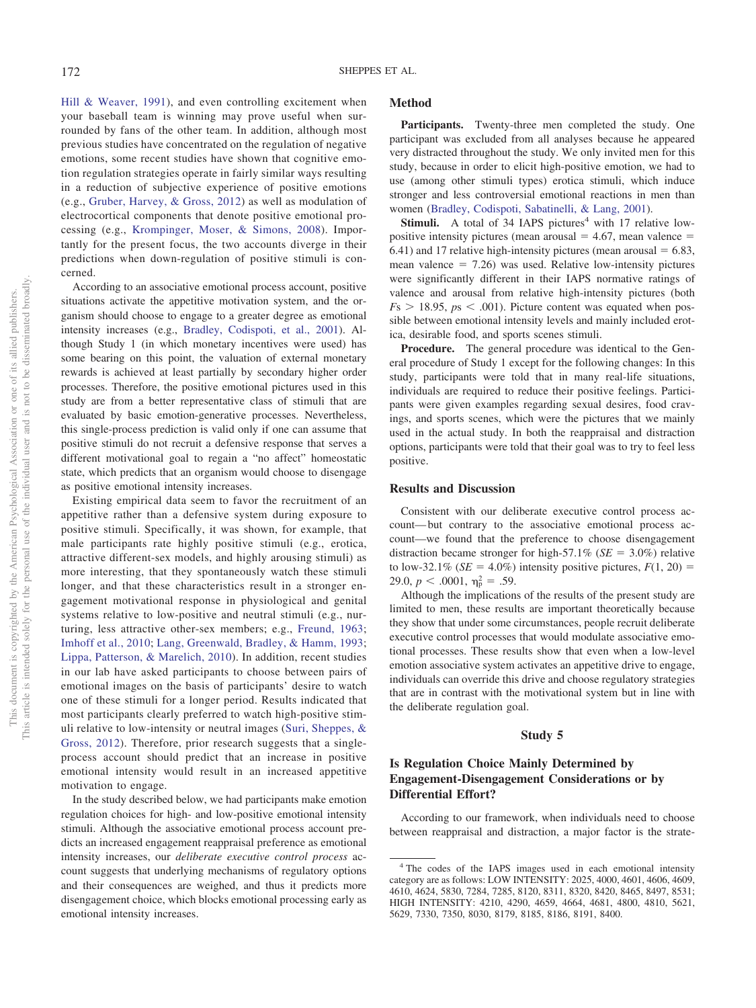[Hill & Weaver, 1991\)](#page-16-26), and even controlling excitement when your baseball team is winning may prove useful when surrounded by fans of the other team. In addition, although most previous studies have concentrated on the regulation of negative emotions, some recent studies have shown that cognitive emotion regulation strategies operate in fairly similar ways resulting in a reduction of subjective experience of positive emotions (e.g., [Gruber, Harvey, & Gross, 2012\)](#page-16-27) as well as modulation of electrocortical components that denote positive emotional processing (e.g., [Krompinger, Moser, & Simons, 2008\)](#page-17-20). Importantly for the present focus, the two accounts diverge in their predictions when down-regulation of positive stimuli is concerned.

According to an associative emotional process account, positive situations activate the appetitive motivation system, and the organism should choose to engage to a greater degree as emotional intensity increases (e.g., [Bradley, Codispoti, et al., 2001\)](#page-15-6). Although Study 1 (in which monetary incentives were used) has some bearing on this point, the valuation of external monetary rewards is achieved at least partially by secondary higher order processes. Therefore, the positive emotional pictures used in this study are from a better representative class of stimuli that are evaluated by basic emotion-generative processes. Nevertheless, this single-process prediction is valid only if one can assume that positive stimuli do not recruit a defensive response that serves a different motivational goal to regain a "no affect" homeostatic state, which predicts that an organism would choose to disengage as positive emotional intensity increases.

Existing empirical data seem to favor the recruitment of an appetitive rather than a defensive system during exposure to positive stimuli. Specifically, it was shown, for example, that male participants rate highly positive stimuli (e.g., erotica, attractive different-sex models, and highly arousing stimuli) as more interesting, that they spontaneously watch these stimuli longer, and that these characteristics result in a stronger engagement motivational response in physiological and genital systems relative to low-positive and neutral stimuli (e.g., nurturing, less attractive other-sex members; e.g., [Freund, 1963;](#page-16-28) [Imhoff et al., 2010;](#page-16-29) [Lang, Greenwald, Bradley, & Hamm, 1993;](#page-17-21) [Lippa, Patterson, & Marelich, 2010\)](#page-17-22). In addition, recent studies in our lab have asked participants to choose between pairs of emotional images on the basis of participants' desire to watch one of these stimuli for a longer period. Results indicated that most participants clearly preferred to watch high-positive stimuli relative to low-intensity or neutral images [\(Suri, Sheppes, &](#page-18-15) [Gross, 2012\)](#page-18-15). Therefore, prior research suggests that a singleprocess account should predict that an increase in positive emotional intensity would result in an increased appetitive motivation to engage.

In the study described below, we had participants make emotion regulation choices for high- and low-positive emotional intensity stimuli. Although the associative emotional process account predicts an increased engagement reappraisal preference as emotional intensity increases, our *deliberate executive control process* account suggests that underlying mechanisms of regulatory options and their consequences are weighed, and thus it predicts more disengagement choice, which blocks emotional processing early as emotional intensity increases.

## **Method**

**Participants.** Twenty-three men completed the study. One participant was excluded from all analyses because he appeared very distracted throughout the study. We only invited men for this study, because in order to elicit high-positive emotion, we had to use (among other stimuli types) erotica stimuli, which induce stronger and less controversial emotional reactions in men than women [\(Bradley, Codispoti, Sabatinelli, & Lang, 2001\)](#page-15-7).

Stimuli. A total of 34 IAPS pictures<sup>4</sup> with 17 relative lowpositive intensity pictures (mean arousal  $=$  4.67, mean valence  $=$ 6.41) and 17 relative high-intensity pictures (mean arousal  $= 6.83$ , mean valence  $= 7.26$ ) was used. Relative low-intensity pictures were significantly different in their IAPS normative ratings of valence and arousal from relative high-intensity pictures (both  $F_s > 18.95$ ,  $p_s < .001$ ). Picture content was equated when possible between emotional intensity levels and mainly included erotica, desirable food, and sports scenes stimuli.

**Procedure.** The general procedure was identical to the General procedure of Study 1 except for the following changes: In this study, participants were told that in many real-life situations, individuals are required to reduce their positive feelings. Participants were given examples regarding sexual desires, food cravings, and sports scenes, which were the pictures that we mainly used in the actual study. In both the reappraisal and distraction options, participants were told that their goal was to try to feel less positive.

## **Results and Discussion**

Consistent with our deliberate executive control process account— but contrary to the associative emotional process account—we found that the preference to choose disengagement distraction became stronger for high-57.1% ( $SE = 3.0\%$ ) relative to low-32.1% ( $SE = 4.0\%$ ) intensity positive pictures,  $F(1, 20) =$ 29.0,  $p < .0001$ ,  $\eta_p^2 = .59$ .

Although the implications of the results of the present study are limited to men, these results are important theoretically because they show that under some circumstances, people recruit deliberate executive control processes that would modulate associative emotional processes. These results show that even when a low-level emotion associative system activates an appetitive drive to engage, individuals can override this drive and choose regulatory strategies that are in contrast with the motivational system but in line with the deliberate regulation goal.

## **Study 5**

# **Is Regulation Choice Mainly Determined by Engagement-Disengagement Considerations or by Differential Effort?**

According to our framework, when individuals need to choose between reappraisal and distraction, a major factor is the strate-

<sup>4</sup> The codes of the IAPS images used in each emotional intensity category are as follows: LOW INTENSITY: 2025, 4000, 4601, 4606, 4609, 4610, 4624, 5830, 7284, 7285, 8120, 8311, 8320, 8420, 8465, 8497, 8531; HIGH INTENSITY: 4210, 4290, 4659, 4664, 4681, 4800, 4810, 5621, 5629, 7330, 7350, 8030, 8179, 8185, 8186, 8191, 8400.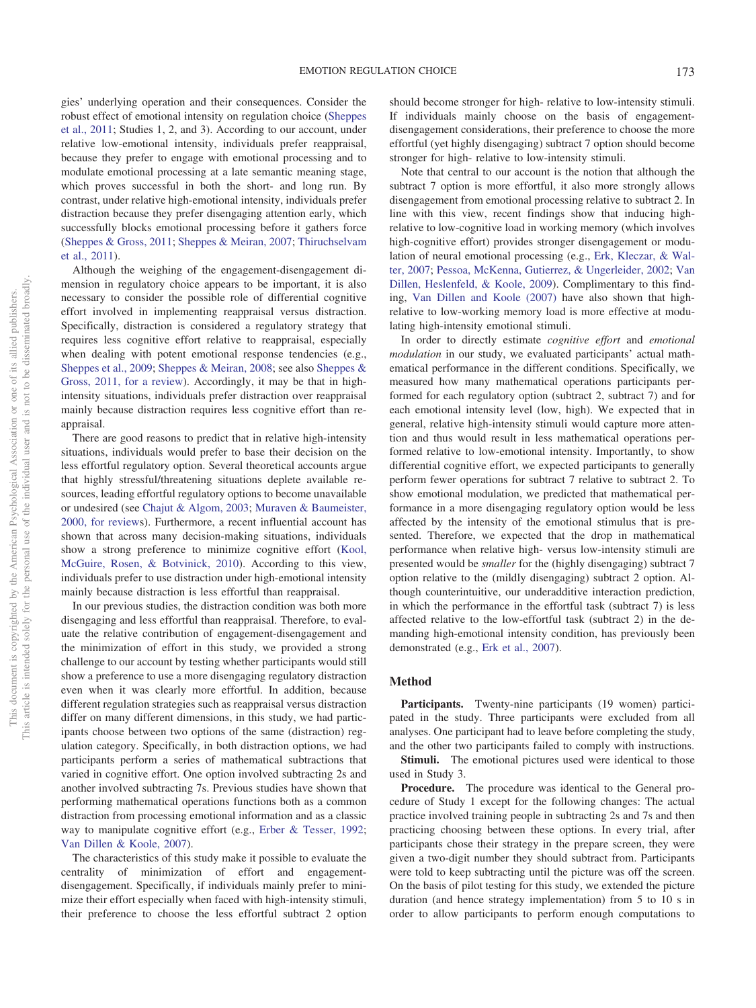gies' underlying operation and their consequences. Consider the robust effect of emotional intensity on regulation choice [\(Sheppes](#page-18-5) [et al., 2011;](#page-18-5) Studies 1, 2, and 3). According to our account, under relative low-emotional intensity, individuals prefer reappraisal, because they prefer to engage with emotional processing and to modulate emotional processing at a late semantic meaning stage, which proves successful in both the short- and long run. By contrast, under relative high-emotional intensity, individuals prefer distraction because they prefer disengaging attention early, which successfully blocks emotional processing before it gathers force [\(Sheppes & Gross, 2011;](#page-18-3) [Sheppes & Meiran, 2007;](#page-18-7) [Thiruchselvam](#page-18-12) [et al., 2011\)](#page-18-12).

Although the weighing of the engagement-disengagement dimension in regulatory choice appears to be important, it is also necessary to consider the possible role of differential cognitive effort involved in implementing reappraisal versus distraction. Specifically, distraction is considered a regulatory strategy that requires less cognitive effort relative to reappraisal, especially when dealing with potent emotional response tendencies (e.g., [Sheppes et al., 2009;](#page-18-6) [Sheppes & Meiran, 2008;](#page-18-8) see also [Sheppes &](#page-18-3) [Gross, 2011, for a review\)](#page-18-3). Accordingly, it may be that in highintensity situations, individuals prefer distraction over reappraisal mainly because distraction requires less cognitive effort than reappraisal.

There are good reasons to predict that in relative high-intensity situations, individuals would prefer to base their decision on the less effortful regulatory option. Several theoretical accounts argue that highly stressful/threatening situations deplete available resources, leading effortful regulatory options to become unavailable or undesired (see [Chajut & Algom, 2003;](#page-16-30) [Muraven & Baumeister,](#page-17-13) [2000, for reviews](#page-17-13)). Furthermore, a recent influential account has shown that across many decision-making situations, individuals show a strong preference to minimize cognitive effort [\(Kool,](#page-17-23) [McGuire, Rosen, & Botvinick, 2010\)](#page-17-23). According to this view, individuals prefer to use distraction under high-emotional intensity mainly because distraction is less effortful than reappraisal.

In our previous studies, the distraction condition was both more disengaging and less effortful than reappraisal. Therefore, to evaluate the relative contribution of engagement-disengagement and the minimization of effort in this study, we provided a strong challenge to our account by testing whether participants would still show a preference to use a more disengaging regulatory distraction even when it was clearly more effortful. In addition, because different regulation strategies such as reappraisal versus distraction differ on many different dimensions, in this study, we had participants choose between two options of the same (distraction) regulation category. Specifically, in both distraction options, we had participants perform a series of mathematical subtractions that varied in cognitive effort. One option involved subtracting 2s and another involved subtracting 7s. Previous studies have shown that performing mathematical operations functions both as a common distraction from processing emotional information and as a classic way to manipulate cognitive effort (e.g., [Erber & Tesser, 1992;](#page-16-31) [Van Dillen & Koole, 2007\)](#page-18-10).

The characteristics of this study make it possible to evaluate the centrality of minimization of effort and engagementdisengagement. Specifically, if individuals mainly prefer to minimize their effort especially when faced with high-intensity stimuli, their preference to choose the less effortful subtract 2 option should become stronger for high- relative to low-intensity stimuli. If individuals mainly choose on the basis of engagementdisengagement considerations, their preference to choose the more effortful (yet highly disengaging) subtract 7 option should become stronger for high- relative to low-intensity stimuli.

Note that central to our account is the notion that although the subtract 7 option is more effortful, it also more strongly allows disengagement from emotional processing relative to subtract 2. In line with this view, recent findings show that inducing highrelative to low-cognitive load in working memory (which involves high-cognitive effort) provides stronger disengagement or modulation of neural emotional processing (e.g., [Erk, Kleczar, & Wal](#page-16-32)[ter, 2007;](#page-16-32) [Pessoa, McKenna, Gutierrez, & Ungerleider, 2002;](#page-17-24) [Van](#page-18-16) [Dillen, Heslenfeld, & Koole, 2009\)](#page-18-16). Complimentary to this finding, [Van Dillen and Koole \(2007\)](#page-18-10) have also shown that highrelative to low-working memory load is more effective at modulating high-intensity emotional stimuli.

In order to directly estimate *cognitive effort* and *emotional modulation* in our study, we evaluated participants' actual mathematical performance in the different conditions. Specifically, we measured how many mathematical operations participants performed for each regulatory option (subtract 2, subtract 7) and for each emotional intensity level (low, high). We expected that in general, relative high-intensity stimuli would capture more attention and thus would result in less mathematical operations performed relative to low-emotional intensity. Importantly, to show differential cognitive effort, we expected participants to generally perform fewer operations for subtract 7 relative to subtract 2. To show emotional modulation, we predicted that mathematical performance in a more disengaging regulatory option would be less affected by the intensity of the emotional stimulus that is presented. Therefore, we expected that the drop in mathematical performance when relative high- versus low-intensity stimuli are presented would be *smaller* for the (highly disengaging) subtract 7 option relative to the (mildly disengaging) subtract 2 option. Although counterintuitive, our underadditive interaction prediction, in which the performance in the effortful task (subtract 7) is less affected relative to the low-effortful task (subtract 2) in the demanding high-emotional intensity condition, has previously been demonstrated (e.g., [Erk et al., 2007\)](#page-16-32).

### **Method**

Participants. Twenty-nine participants (19 women) participated in the study. Three participants were excluded from all analyses. One participant had to leave before completing the study, and the other two participants failed to comply with instructions.

**Stimuli.** The emotional pictures used were identical to those used in Study 3.

**Procedure.** The procedure was identical to the General procedure of Study 1 except for the following changes: The actual practice involved training people in subtracting 2s and 7s and then practicing choosing between these options. In every trial, after participants chose their strategy in the prepare screen, they were given a two-digit number they should subtract from. Participants were told to keep subtracting until the picture was off the screen. On the basis of pilot testing for this study, we extended the picture duration (and hence strategy implementation) from 5 to 10 s in order to allow participants to perform enough computations to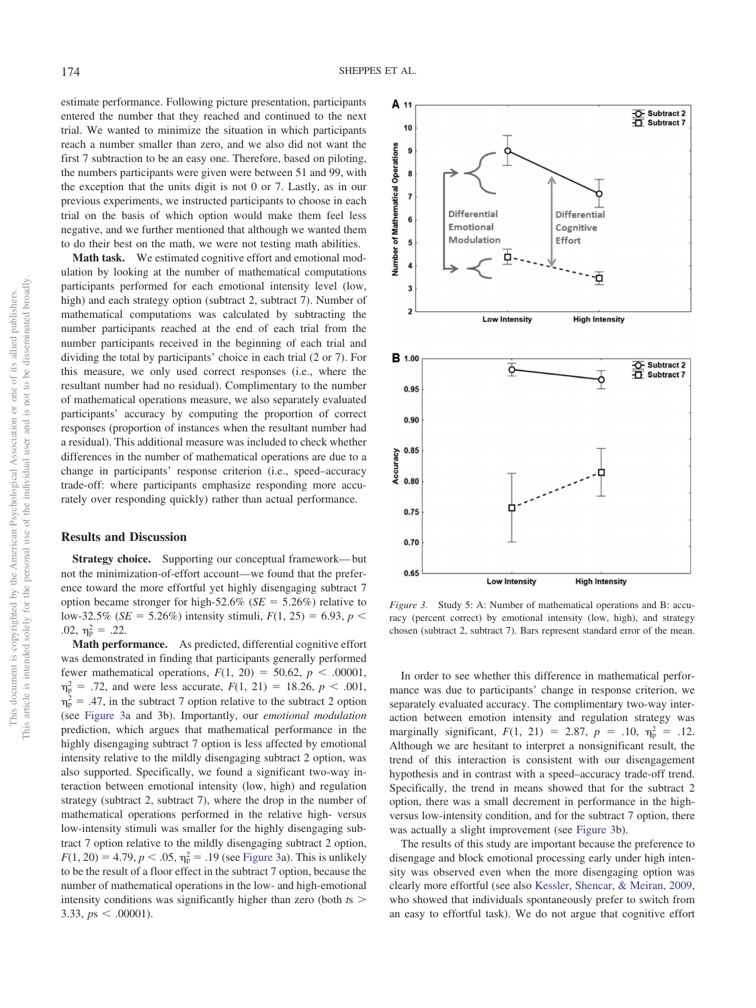estimate performance. Following picture presentation, participants entered the number that they reached and continued to the next trial. We wanted to minimize the situation in which participants reach a number smaller than zero, and we also did not want the first 7 subtraction to be an easy one. Therefore, based on piloting, the numbers participants were given were between 51 and 99, with the exception that the units digit is not 0 or 7. Lastly, as in our previous experiments, we instructed participants to choose in each trial on the basis of which option would make them feel less negative, and we further mentioned that although we wanted them to do their best on the math, we were not testing math abilities.

**Math task.** We estimated cognitive effort and emotional modulation by looking at the number of mathematical computations participants performed for each emotional intensity level (low, high) and each strategy option (subtract 2, subtract 7). Number of mathematical computations was calculated by subtracting the number participants reached at the end of each trial from the number participants received in the beginning of each trial and dividing the total by participants' choice in each trial (2 or 7). For this measure, we only used correct responses (i.e., where the resultant number had no residual). Complimentary to the number of mathematical operations measure, we also separately evaluated participants' accuracy by computing the proportion of correct responses (proportion of instances when the resultant number had a residual). This additional measure was included to check whether differences in the number of mathematical operations are due to a change in participants' response criterion (i.e., speed–accuracy trade-off: where participants emphasize responding more accurately over responding quickly) rather than actual performance.

#### **Results and Discussion**

**Strategy choice.** Supporting our conceptual framework— but not the minimization-of-effort account—we found that the preference toward the more effortful yet highly disengaging subtract 7 option became stronger for high-52.6% ( $SE = 5.26\%$ ) relative to low-32.5% (*SE* = 5.26%) intensity stimuli,  $F(1, 25) = 6.93$ ,  $p <$ .02,  $\eta_{\rm p}^2 = .22$ .

**Math performance.** As predicted, differential cognitive effort was demonstrated in finding that participants generally performed fewer mathematical operations,  $F(1, 20) = 50.62$ ,  $p < .00001$ ,  $m_p^2 = .72$ , and were less accurate,  $F(1, 21) = 18.26$ ,  $p < .001$ ,  $\eta_{\rm p}^2$  = .47, in the subtract 7 option relative to the subtract 2 option (see [Figure 3a](#page-11-0) and 3b). Importantly, our *emotional modulation* prediction, which argues that mathematical performance in the highly disengaging subtract 7 option is less affected by emotional intensity relative to the mildly disengaging subtract 2 option, was also supported. Specifically, we found a significant two-way interaction between emotional intensity (low, high) and regulation strategy (subtract 2, subtract 7), where the drop in the number of mathematical operations performed in the relative high- versus low-intensity stimuli was smaller for the highly disengaging subtract 7 option relative to the mildly disengaging subtract 2 option,  $F(1, 20) = 4.79, p < .05, \eta_p^2 = .19$  (see [Figure 3a](#page-11-0)). This is unlikely to be the result of a floor effect in the subtract 7 option, because the number of mathematical operations in the low- and high-emotional intensity conditions was significantly higher than zero (both  $t_s$ ) 3.33,  $ps < .00001$ ).



<span id="page-11-0"></span>*Figure 3.* Study 5: A: Number of mathematical operations and B: accuracy (percent correct) by emotional intensity (low, high), and strategy chosen (subtract 2, subtract 7). Bars represent standard error of the mean.

**Low Intensity** 

**High Intensity** 

In order to see whether this difference in mathematical performance was due to participants' change in response criterion, we separately evaluated accuracy. The complimentary two-way interaction between emotion intensity and regulation strategy was marginally significant,  $F(1, 21) = 2.87$ ,  $p = .10$ ,  $\eta_p^2 = .12$ . Although we are hesitant to interpret a nonsignificant result, the trend of this interaction is consistent with our disengagement hypothesis and in contrast with a speed–accuracy trade-off trend. Specifically, the trend in means showed that for the subtract 2 option, there was a small decrement in performance in the highversus low-intensity condition, and for the subtract 7 option, there was actually a slight improvement (see [Figure 3b](#page-11-0)).

The results of this study are important because the preference to disengage and block emotional processing early under high intensity was observed even when the more disengaging option was clearly more effortful (see also [Kessler, Shencar, & Meiran, 2009,](#page-17-25) who showed that individuals spontaneously prefer to switch from an easy to effortful task). We do not argue that cognitive effort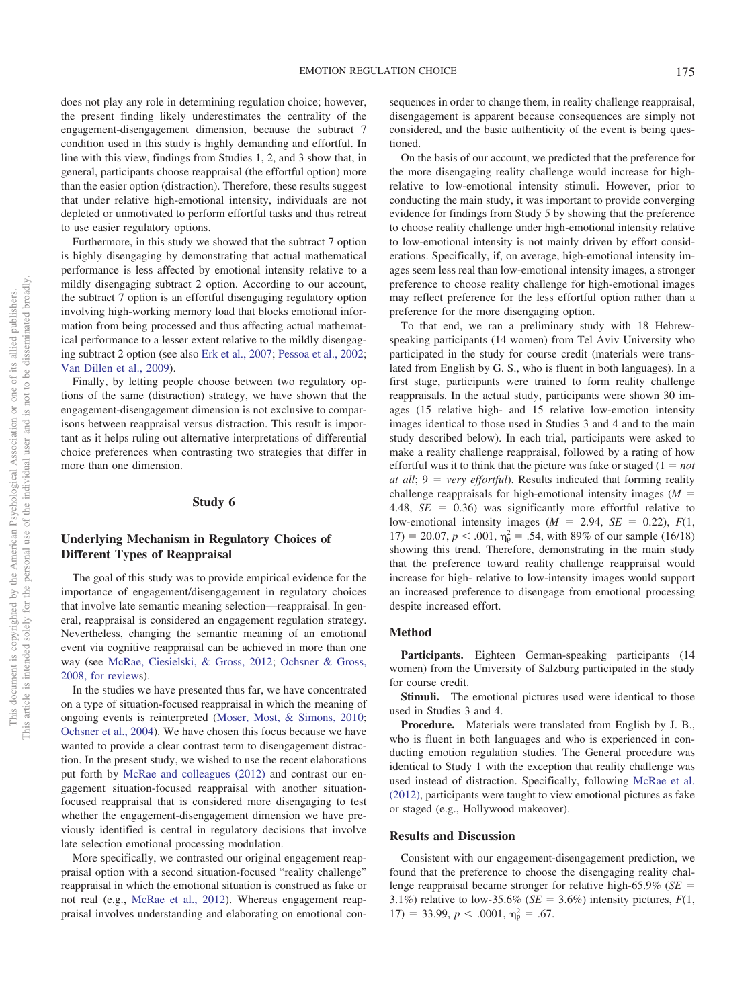does not play any role in determining regulation choice; however, the present finding likely underestimates the centrality of the engagement-disengagement dimension, because the subtract 7 condition used in this study is highly demanding and effortful. In line with this view, findings from Studies 1, 2, and 3 show that, in general, participants choose reappraisal (the effortful option) more than the easier option (distraction). Therefore, these results suggest that under relative high-emotional intensity, individuals are not depleted or unmotivated to perform effortful tasks and thus retreat to use easier regulatory options.

Furthermore, in this study we showed that the subtract 7 option is highly disengaging by demonstrating that actual mathematical performance is less affected by emotional intensity relative to a mildly disengaging subtract 2 option. According to our account, the subtract 7 option is an effortful disengaging regulatory option involving high-working memory load that blocks emotional information from being processed and thus affecting actual mathematical performance to a lesser extent relative to the mildly disengaging subtract 2 option (see also [Erk et al., 2007;](#page-16-32) [Pessoa et al., 2002;](#page-17-24) [Van Dillen et al., 2009\)](#page-18-16).

Finally, by letting people choose between two regulatory options of the same (distraction) strategy, we have shown that the engagement-disengagement dimension is not exclusive to comparisons between reappraisal versus distraction. This result is important as it helps ruling out alternative interpretations of differential choice preferences when contrasting two strategies that differ in more than one dimension.

## **Study 6**

# **Underlying Mechanism in Regulatory Choices of Different Types of Reappraisal**

The goal of this study was to provide empirical evidence for the importance of engagement/disengagement in regulatory choices that involve late semantic meaning selection—reappraisal. In general, reappraisal is considered an engagement regulation strategy. Nevertheless, changing the semantic meaning of an emotional event via cognitive reappraisal can be achieved in more than one way (see [McRae, Ciesielski, & Gross, 2012;](#page-17-26) [Ochsner & Gross,](#page-17-19) [2008, for reviews](#page-17-19)).

In the studies we have presented thus far, we have concentrated on a type of situation-focused reappraisal in which the meaning of ongoing events is reinterpreted [\(Moser, Most, & Simons, 2010;](#page-17-27) [Ochsner et al., 2004\)](#page-17-28). We have chosen this focus because we have wanted to provide a clear contrast term to disengagement distraction. In the present study, we wished to use the recent elaborations put forth by [McRae and colleagues \(2012\)](#page-17-26) and contrast our engagement situation-focused reappraisal with another situationfocused reappraisal that is considered more disengaging to test whether the engagement-disengagement dimension we have previously identified is central in regulatory decisions that involve late selection emotional processing modulation.

More specifically, we contrasted our original engagement reappraisal option with a second situation-focused "reality challenge" reappraisal in which the emotional situation is construed as fake or not real (e.g., [McRae et al., 2012\)](#page-17-26). Whereas engagement reappraisal involves understanding and elaborating on emotional consequences in order to change them, in reality challenge reappraisal, disengagement is apparent because consequences are simply not considered, and the basic authenticity of the event is being questioned.

On the basis of our account, we predicted that the preference for the more disengaging reality challenge would increase for highrelative to low-emotional intensity stimuli. However, prior to conducting the main study, it was important to provide converging evidence for findings from Study 5 by showing that the preference to choose reality challenge under high-emotional intensity relative to low-emotional intensity is not mainly driven by effort considerations. Specifically, if, on average, high-emotional intensity images seem less real than low-emotional intensity images, a stronger preference to choose reality challenge for high-emotional images may reflect preference for the less effortful option rather than a preference for the more disengaging option.

To that end, we ran a preliminary study with 18 Hebrewspeaking participants (14 women) from Tel Aviv University who participated in the study for course credit (materials were translated from English by G. S., who is fluent in both languages). In a first stage, participants were trained to form reality challenge reappraisals. In the actual study, participants were shown 30 images (15 relative high- and 15 relative low-emotion intensity images identical to those used in Studies 3 and 4 and to the main study described below). In each trial, participants were asked to make a reality challenge reappraisal, followed by a rating of how effortful was it to think that the picture was fake or staged  $(1 = not$ *at all*;  $9 = \text{very \, effortful}$ . Results indicated that forming reality challenge reappraisals for high-emotional intensity images (*M* 4.48,  $SE = 0.36$ ) was significantly more effortful relative to low-emotional intensity images ( $M = 2.94$ ,  $SE = 0.22$ ),  $F(1,$  $17$ ) = 20.07,  $p < .001$ ,  $\eta_p^2 = .54$ , with 89% of our sample (16/18) showing this trend. Therefore, demonstrating in the main study that the preference toward reality challenge reappraisal would increase for high- relative to low-intensity images would support an increased preference to disengage from emotional processing despite increased effort.

## **Method**

**Participants.** Eighteen German-speaking participants (14 women) from the University of Salzburg participated in the study for course credit.

Stimuli. The emotional pictures used were identical to those used in Studies 3 and 4.

**Procedure.** Materials were translated from English by J. B., who is fluent in both languages and who is experienced in conducting emotion regulation studies. The General procedure was identical to Study 1 with the exception that reality challenge was used instead of distraction. Specifically, following [McRae et al.](#page-17-26) [\(2012\),](#page-17-26) participants were taught to view emotional pictures as fake or staged (e.g., Hollywood makeover).

#### **Results and Discussion**

Consistent with our engagement-disengagement prediction, we found that the preference to choose the disengaging reality challenge reappraisal became stronger for relative high-65.9% (*SE* 3.1%) relative to low-35.6% ( $SE = 3.6\%$ ) intensity pictures,  $F(1, 1)$  $17) = 33.99, p < .0001, \eta_{p}^{2} = .67.$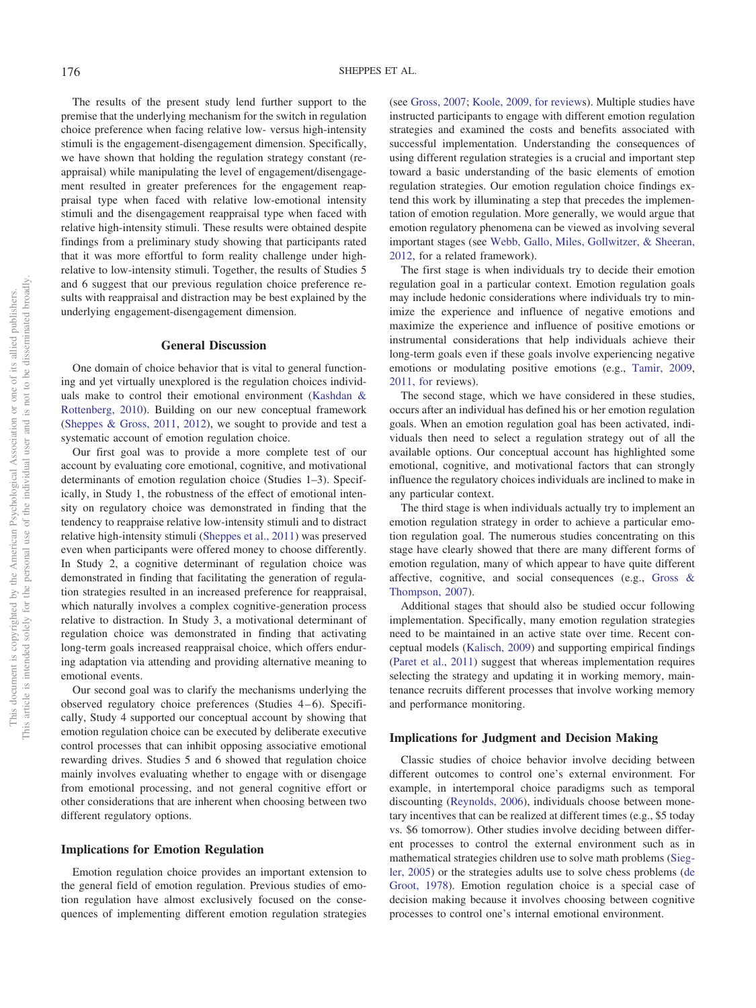The results of the present study lend further support to the premise that the underlying mechanism for the switch in regulation choice preference when facing relative low- versus high-intensity stimuli is the engagement-disengagement dimension. Specifically, we have shown that holding the regulation strategy constant (reappraisal) while manipulating the level of engagement/disengagement resulted in greater preferences for the engagement reappraisal type when faced with relative low-emotional intensity stimuli and the disengagement reappraisal type when faced with relative high-intensity stimuli. These results were obtained despite findings from a preliminary study showing that participants rated that it was more effortful to form reality challenge under highrelative to low-intensity stimuli. Together, the results of Studies 5 and 6 suggest that our previous regulation choice preference results with reappraisal and distraction may be best explained by the underlying engagement-disengagement dimension.

#### **General Discussion**

One domain of choice behavior that is vital to general functioning and yet virtually unexplored is the regulation choices individuals make to control their emotional environment [\(Kashdan &](#page-16-6) [Rottenberg, 2010\)](#page-16-6). Building on our new conceptual framework [\(Sheppes & Gross, 2011,](#page-18-3) [2012\)](#page-18-4), we sought to provide and test a systematic account of emotion regulation choice.

Our first goal was to provide a more complete test of our account by evaluating core emotional, cognitive, and motivational determinants of emotion regulation choice (Studies 1–3). Specifically, in Study 1, the robustness of the effect of emotional intensity on regulatory choice was demonstrated in finding that the tendency to reappraise relative low-intensity stimuli and to distract relative high-intensity stimuli [\(Sheppes et al., 2011\)](#page-18-5) was preserved even when participants were offered money to choose differently. In Study 2, a cognitive determinant of regulation choice was demonstrated in finding that facilitating the generation of regulation strategies resulted in an increased preference for reappraisal, which naturally involves a complex cognitive-generation process relative to distraction. In Study 3, a motivational determinant of regulation choice was demonstrated in finding that activating long-term goals increased reappraisal choice, which offers enduring adaptation via attending and providing alternative meaning to emotional events.

Our second goal was to clarify the mechanisms underlying the observed regulatory choice preferences (Studies  $4-6$ ). Specifically, Study 4 supported our conceptual account by showing that emotion regulation choice can be executed by deliberate executive control processes that can inhibit opposing associative emotional rewarding drives. Studies 5 and 6 showed that regulation choice mainly involves evaluating whether to engage with or disengage from emotional processing, and not general cognitive effort or other considerations that are inherent when choosing between two different regulatory options.

## **Implications for Emotion Regulation**

Emotion regulation choice provides an important extension to the general field of emotion regulation. Previous studies of emotion regulation have almost exclusively focused on the consequences of implementing different emotion regulation strategies

(see [Gross, 2007;](#page-16-7) [Koole, 2009, for reviews](#page-17-2)). Multiple studies have instructed participants to engage with different emotion regulation strategies and examined the costs and benefits associated with successful implementation. Understanding the consequences of using different regulation strategies is a crucial and important step toward a basic understanding of the basic elements of emotion regulation strategies. Our emotion regulation choice findings extend this work by illuminating a step that precedes the implementation of emotion regulation. More generally, we would argue that emotion regulatory phenomena can be viewed as involving several important stages (see [Webb, Gallo, Miles, Gollwitzer, & Sheeran,](#page-18-17) [2012,](#page-18-17) for a related framework).

The first stage is when individuals try to decide their emotion regulation goal in a particular context. Emotion regulation goals may include hedonic considerations where individuals try to minimize the experience and influence of negative emotions and maximize the experience and influence of positive emotions or instrumental considerations that help individuals achieve their long-term goals even if these goals involve experiencing negative emotions or modulating positive emotions (e.g., [Tamir, 2009,](#page-18-0) [2011, for](#page-18-1) reviews).

The second stage, which we have considered in these studies, occurs after an individual has defined his or her emotion regulation goals. When an emotion regulation goal has been activated, individuals then need to select a regulation strategy out of all the available options. Our conceptual account has highlighted some emotional, cognitive, and motivational factors that can strongly influence the regulatory choices individuals are inclined to make in any particular context.

The third stage is when individuals actually try to implement an emotion regulation strategy in order to achieve a particular emotion regulation goal. The numerous studies concentrating on this stage have clearly showed that there are many different forms of emotion regulation, many of which appear to have quite different affective, cognitive, and social consequences (e.g., [Gross &](#page-16-5) [Thompson, 2007\)](#page-16-5).

Additional stages that should also be studied occur following implementation. Specifically, many emotion regulation strategies need to be maintained in an active state over time. Recent conceptual models [\(Kalisch, 2009\)](#page-16-21) and supporting empirical findings [\(Paret et al., 2011\)](#page-17-29) suggest that whereas implementation requires selecting the strategy and updating it in working memory, maintenance recruits different processes that involve working memory and performance monitoring.

#### **Implications for Judgment and Decision Making**

Classic studies of choice behavior involve deciding between different outcomes to control one's external environment. For example, in intertemporal choice paradigms such as temporal discounting [\(Reynolds, 2006\)](#page-17-18), individuals choose between monetary incentives that can be realized at different times (e.g., \$5 today vs. \$6 tomorrow). Other studies involve deciding between different processes to control the external environment such as in mathematical strategies children use to solve math problems [\(Sieg](#page-18-18)[ler, 2005\)](#page-18-18) or the strategies adults use to solve chess problems [\(de](#page-16-33) [Groot, 1978\)](#page-16-33). Emotion regulation choice is a special case of decision making because it involves choosing between cognitive processes to control one's internal emotional environment.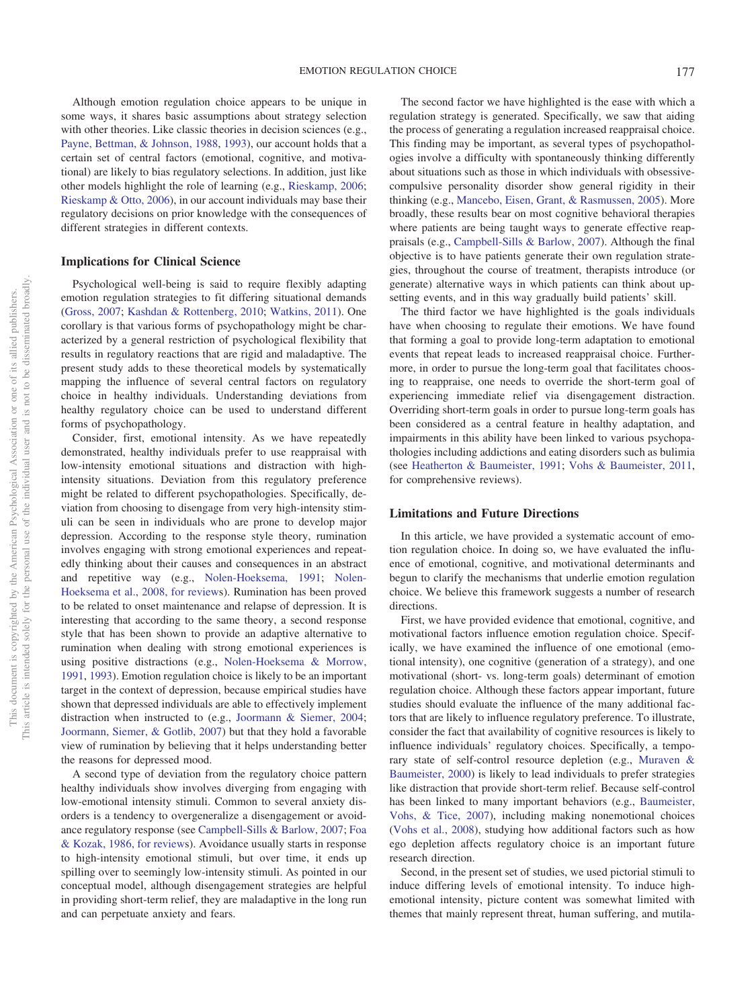Although emotion regulation choice appears to be unique in some ways, it shares basic assumptions about strategy selection with other theories. Like classic theories in decision sciences (e.g., [Payne, Bettman, & Johnson, 1988,](#page-17-30) [1993\)](#page-17-31), our account holds that a certain set of central factors (emotional, cognitive, and motivational) are likely to bias regulatory selections. In addition, just like other models highlight the role of learning (e.g., [Rieskamp, 2006;](#page-18-19) [Rieskamp & Otto, 2006\)](#page-18-20), in our account individuals may base their regulatory decisions on prior knowledge with the consequences of different strategies in different contexts.

#### **Implications for Clinical Science**

Psychological well-being is said to require flexibly adapting emotion regulation strategies to fit differing situational demands [\(Gross, 2007;](#page-16-7) [Kashdan & Rottenberg, 2010;](#page-16-6) [Watkins, 2011\)](#page-18-21). One corollary is that various forms of psychopathology might be characterized by a general restriction of psychological flexibility that results in regulatory reactions that are rigid and maladaptive. The present study adds to these theoretical models by systematically mapping the influence of several central factors on regulatory choice in healthy individuals. Understanding deviations from healthy regulatory choice can be used to understand different forms of psychopathology.

Consider, first, emotional intensity. As we have repeatedly demonstrated, healthy individuals prefer to use reappraisal with low-intensity emotional situations and distraction with highintensity situations. Deviation from this regulatory preference might be related to different psychopathologies. Specifically, deviation from choosing to disengage from very high-intensity stimuli can be seen in individuals who are prone to develop major depression. According to the response style theory, rumination involves engaging with strong emotional experiences and repeatedly thinking about their causes and consequences in an abstract and repetitive way (e.g., [Nolen-Hoeksema, 1991;](#page-17-5) [Nolen-](#page-17-6)[Hoeksema et al., 2008, for reviews](#page-17-6)). Rumination has been proved to be related to onset maintenance and relapse of depression. It is interesting that according to the same theory, a second response style that has been shown to provide an adaptive alternative to rumination when dealing with strong emotional experiences is using positive distractions (e.g., [Nolen-Hoeksema & Morrow,](#page-17-32) [1991,](#page-17-32) [1993\)](#page-17-33). Emotion regulation choice is likely to be an important target in the context of depression, because empirical studies have shown that depressed individuals are able to effectively implement distraction when instructed to (e.g., [Joormann & Siemer, 2004;](#page-16-34) [Joormann, Siemer, & Gotlib, 2007\)](#page-16-35) but that they hold a favorable view of rumination by believing that it helps understanding better the reasons for depressed mood.

A second type of deviation from the regulatory choice pattern healthy individuals show involves diverging from engaging with low-emotional intensity stimuli. Common to several anxiety disorders is a tendency to overgeneralize a disengagement or avoidance regulatory response (see [Campbell-Sills & Barlow, 2007;](#page-16-36) [Foa](#page-16-37) [& Kozak, 1986, for reviews](#page-16-37)). Avoidance usually starts in response to high-intensity emotional stimuli, but over time, it ends up spilling over to seemingly low-intensity stimuli. As pointed in our conceptual model, although disengagement strategies are helpful in providing short-term relief, they are maladaptive in the long run and can perpetuate anxiety and fears.

The second factor we have highlighted is the ease with which a regulation strategy is generated. Specifically, we saw that aiding the process of generating a regulation increased reappraisal choice. This finding may be important, as several types of psychopathologies involve a difficulty with spontaneously thinking differently about situations such as those in which individuals with obsessivecompulsive personality disorder show general rigidity in their thinking (e.g., [Mancebo, Eisen, Grant, & Rasmussen, 2005\)](#page-17-34). More broadly, these results bear on most cognitive behavioral therapies where patients are being taught ways to generate effective reappraisals (e.g., [Campbell-Sills & Barlow, 2007\)](#page-16-36). Although the final objective is to have patients generate their own regulation strategies, throughout the course of treatment, therapists introduce (or generate) alternative ways in which patients can think about upsetting events, and in this way gradually build patients' skill.

The third factor we have highlighted is the goals individuals have when choosing to regulate their emotions. We have found that forming a goal to provide long-term adaptation to emotional events that repeat leads to increased reappraisal choice. Furthermore, in order to pursue the long-term goal that facilitates choosing to reappraise, one needs to override the short-term goal of experiencing immediate relief via disengagement distraction. Overriding short-term goals in order to pursue long-term goals has been considered as a central feature in healthy adaptation, and impairments in this ability have been linked to various psychopathologies including addictions and eating disorders such as bulimia (see [Heatherton & Baumeister, 1991;](#page-16-38) [Vohs & Baumeister, 2011,](#page-18-22) for comprehensive reviews).

## **Limitations and Future Directions**

In this article, we have provided a systematic account of emotion regulation choice. In doing so, we have evaluated the influence of emotional, cognitive, and motivational determinants and begun to clarify the mechanisms that underlie emotion regulation choice. We believe this framework suggests a number of research directions.

First, we have provided evidence that emotional, cognitive, and motivational factors influence emotion regulation choice. Specifically, we have examined the influence of one emotional (emotional intensity), one cognitive (generation of a strategy), and one motivational (short- vs. long-term goals) determinant of emotion regulation choice. Although these factors appear important, future studies should evaluate the influence of the many additional factors that are likely to influence regulatory preference. To illustrate, consider the fact that availability of cognitive resources is likely to influence individuals' regulatory choices. Specifically, a temporary state of self-control resource depletion (e.g., [Muraven &](#page-17-13) [Baumeister, 2000\)](#page-17-13) is likely to lead individuals to prefer strategies like distraction that provide short-term relief. Because self-control has been linked to many important behaviors (e.g., [Baumeister,](#page-15-8) [Vohs, & Tice, 2007\)](#page-15-8), including making nonemotional choices [\(Vohs et al., 2008\)](#page-18-23), studying how additional factors such as how ego depletion affects regulatory choice is an important future research direction.

Second, in the present set of studies, we used pictorial stimuli to induce differing levels of emotional intensity. To induce highemotional intensity, picture content was somewhat limited with themes that mainly represent threat, human suffering, and mutila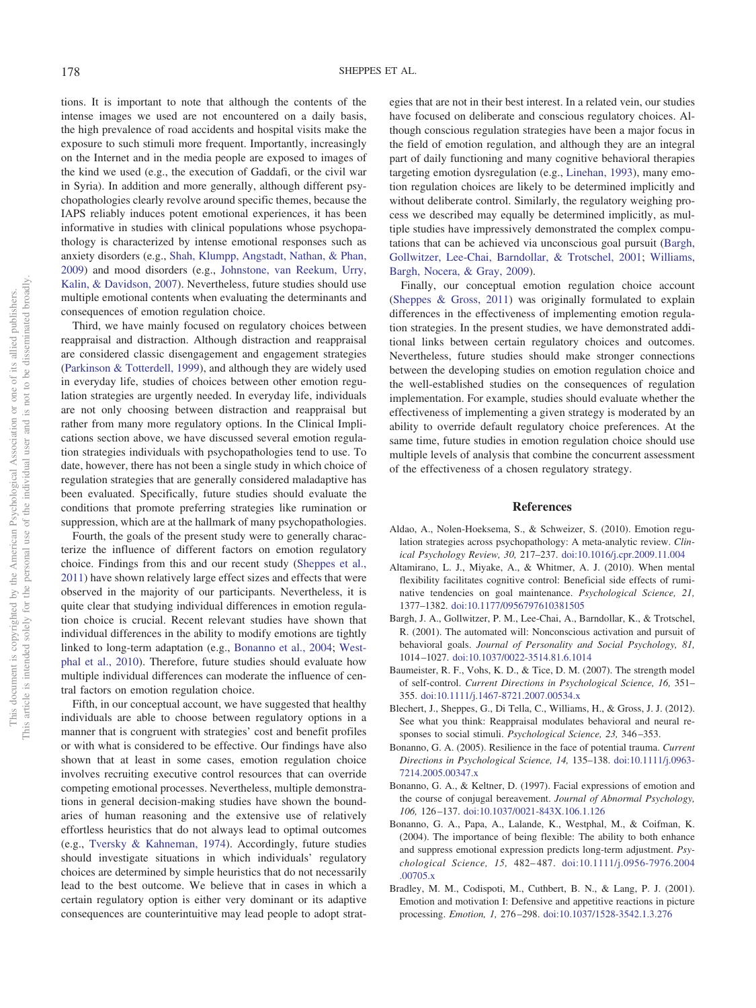<span id="page-15-7"></span>tions. It is important to note that although the contents of the intense images we used are not encountered on a daily basis, the high prevalence of road accidents and hospital visits make the exposure to such stimuli more frequent. Importantly, increasingly on the Internet and in the media people are exposed to images of the kind we used (e.g., the execution of Gaddafi, or the civil war in Syria). In addition and more generally, although different psychopathologies clearly revolve around specific themes, because the IAPS reliably induces potent emotional experiences, it has been informative in studies with clinical populations whose psychopathology is characterized by intense emotional responses such as anxiety disorders (e.g., [Shah, Klumpp, Angstadt, Nathan, & Phan,](#page-18-24) [2009\)](#page-18-24) and mood disorders (e.g., [Johnstone, van Reekum, Urry,](#page-16-39) [Kalin, & Davidson, 2007\)](#page-16-39). Nevertheless, future studies should use multiple emotional contents when evaluating the determinants and consequences of emotion regulation choice.

Third, we have mainly focused on regulatory choices between reappraisal and distraction. Although distraction and reappraisal are considered classic disengagement and engagement strategies [\(Parkinson & Totterdell, 1999\)](#page-17-3), and although they are widely used in everyday life, studies of choices between other emotion regulation strategies are urgently needed. In everyday life, individuals are not only choosing between distraction and reappraisal but rather from many more regulatory options. In the Clinical Implications section above, we have discussed several emotion regulation strategies individuals with psychopathologies tend to use. To date, however, there has not been a single study in which choice of regulation strategies that are generally considered maladaptive has been evaluated. Specifically, future studies should evaluate the conditions that promote preferring strategies like rumination or suppression, which are at the hallmark of many psychopathologies.

Fourth, the goals of the present study were to generally characterize the influence of different factors on emotion regulatory choice. Findings from this and our recent study [\(Sheppes et al.,](#page-18-5) [2011\)](#page-18-5) have shown relatively large effect sizes and effects that were observed in the majority of our participants. Nevertheless, it is quite clear that studying individual differences in emotion regulation choice is crucial. Recent relevant studies have shown that individual differences in the ability to modify emotions are tightly linked to long-term adaptation (e.g., [Bonanno et al., 2004;](#page-15-4) [West](#page-18-9)[phal et al., 2010\)](#page-18-9). Therefore, future studies should evaluate how multiple individual differences can moderate the influence of central factors on emotion regulation choice.

Fifth, in our conceptual account, we have suggested that healthy individuals are able to choose between regulatory options in a manner that is congruent with strategies' cost and benefit profiles or with what is considered to be effective. Our findings have also shown that at least in some cases, emotion regulation choice involves recruiting executive control resources that can override competing emotional processes. Nevertheless, multiple demonstrations in general decision-making studies have shown the boundaries of human reasoning and the extensive use of relatively effortless heuristics that do not always lead to optimal outcomes (e.g., [Tversky & Kahneman, 1974\)](#page-18-25). Accordingly, future studies should investigate situations in which individuals' regulatory choices are determined by simple heuristics that do not necessarily lead to the best outcome. We believe that in cases in which a certain regulatory option is either very dominant or its adaptive consequences are counterintuitive may lead people to adopt strategies that are not in their best interest. In a related vein, our studies have focused on deliberate and conscious regulatory choices. Although conscious regulation strategies have been a major focus in the field of emotion regulation, and although they are an integral part of daily functioning and many cognitive behavioral therapies targeting emotion dysregulation (e.g., [Linehan, 1993\)](#page-17-35), many emotion regulation choices are likely to be determined implicitly and without deliberate control. Similarly, the regulatory weighing process we described may equally be determined implicitly, as multiple studies have impressively demonstrated the complex computations that can be achieved via unconscious goal pursuit [\(Bargh,](#page-15-9) [Gollwitzer, Lee-Chai, Barndollar, & Trotschel, 2001;](#page-15-9) [Williams,](#page-18-26) [Bargh, Nocera, & Gray, 2009\)](#page-18-26).

Finally, our conceptual emotion regulation choice account [\(Sheppes & Gross, 2011\)](#page-18-3) was originally formulated to explain differences in the effectiveness of implementing emotion regulation strategies. In the present studies, we have demonstrated additional links between certain regulatory choices and outcomes. Nevertheless, future studies should make stronger connections between the developing studies on emotion regulation choice and the well-established studies on the consequences of regulation implementation. For example, studies should evaluate whether the effectiveness of implementing a given strategy is moderated by an ability to override default regulatory choice preferences. At the same time, future studies in emotion regulation choice should use multiple levels of analysis that combine the concurrent assessment of the effectiveness of a chosen regulatory strategy.

## **References**

- <span id="page-15-0"></span>Aldao, A., Nolen-Hoeksema, S., & Schweizer, S. (2010). Emotion regulation strategies across psychopathology: A meta-analytic review. *Clinical Psychology Review, 30,* 217–237. [doi:10.1016/j.cpr.2009.11.004](http://dx.doi.org/10.1016/j.cpr.2009.11.004)
- <span id="page-15-1"></span>Altamirano, L. J., Miyake, A., & Whitmer, A. J. (2010). When mental flexibility facilitates cognitive control: Beneficial side effects of ruminative tendencies on goal maintenance. *Psychological Science, 21,* 1377–1382. [doi:10.1177/0956797610381505](http://dx.doi.org/10.1177/0956797610381505)
- <span id="page-15-9"></span>Bargh, J. A., Gollwitzer, P. M., Lee-Chai, A., Barndollar, K., & Trotschel, R. (2001). The automated will: Nonconscious activation and pursuit of behavioral goals. *Journal of Personality and Social Psychology, 81,* 1014 –1027. [doi:10.1037/0022-3514.81.6.1014](http://dx.doi.org/10.1037/0022-3514.81.6.1014)
- <span id="page-15-8"></span>Baumeister, R. F., Vohs, K. D., & Tice, D. M. (2007). The strength model of self-control. *Current Directions in Psychological Science, 16,* 351– 355. [doi:10.1111/j.1467-8721.2007.00534.x](http://dx.doi.org/10.1111/j.1467-8721.2007.00534.x)
- <span id="page-15-5"></span>Blechert, J., Sheppes, G., Di Tella, C., Williams, H., & Gross, J. J. (2012). See what you think: Reappraisal modulates behavioral and neural responses to social stimuli. *Psychological Science, 23,* 346 –353.
- <span id="page-15-3"></span>Bonanno, G. A. (2005). Resilience in the face of potential trauma. *Current Directions in Psychological Science, 14,* 135–138. [doi:10.1111/j.0963-](http://dx.doi.org/10.1111/j.0963-7214.2005.00347.x) [7214.2005.00347.x](http://dx.doi.org/10.1111/j.0963-7214.2005.00347.x)
- <span id="page-15-2"></span>Bonanno, G. A., & Keltner, D. (1997). Facial expressions of emotion and the course of conjugal bereavement. *Journal of Abnormal Psychology, 106,* 126 –137. [doi:10.1037/0021-843X.106.1.126](http://dx.doi.org/10.1037/0021-843X.106.1.126)
- <span id="page-15-4"></span>Bonanno, G. A., Papa, A., Lalande, K., Westphal, M., & Coifman, K. (2004). The importance of being flexible: The ability to both enhance and suppress emotional expression predicts long-term adjustment. *Psychological Science, 15,* 482– 487. [doi:10.1111/j.0956-7976.2004](http://dx.doi.org/10.1111/j.0956-7976.2004.00705.x) [.00705.x](http://dx.doi.org/10.1111/j.0956-7976.2004.00705.x)
- <span id="page-15-6"></span>Bradley, M. M., Codispoti, M., Cuthbert, B. N., & Lang, P. J. (2001). Emotion and motivation I: Defensive and appetitive reactions in picture processing. *Emotion, 1,* 276 –298. [doi:10.1037/1528-3542.1.3.276](http://dx.doi.org/10.1037/1528-3542.1.3.276)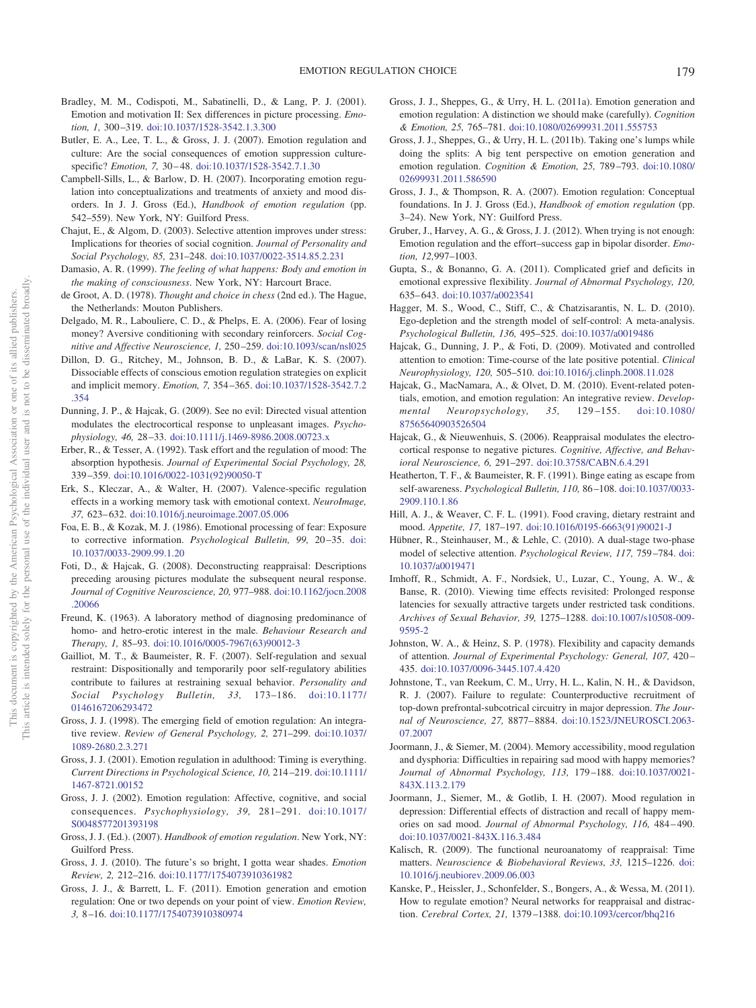- <span id="page-16-6"></span>Bradley, M. M., Codispoti, M., Sabatinelli, D., & Lang, P. J. (2001). Emotion and motivation II: Sex differences in picture processing. *Emotion, 1,* 300 –319. [doi:10.1037/1528-3542.1.3.300](http://dx.doi.org/10.1037/1528-3542.1.3.300)
- <span id="page-16-10"></span>Butler, E. A., Lee, T. L., & Gross, J. J. (2007). Emotion regulation and culture: Are the social consequences of emotion suppression culturespecific? *Emotion, 7,* 30 – 48. [doi:10.1037/1528-3542.7.1.30](http://dx.doi.org/10.1037/1528-3542.7.1.30)
- <span id="page-16-36"></span>Campbell-Sills, L., & Barlow, D. H. (2007). Incorporating emotion regulation into conceptualizations and treatments of anxiety and mood disorders. In J. J. Gross (Ed.), *Handbook of emotion regulation* (pp. 542–559). New York, NY: Guilford Press.
- <span id="page-16-30"></span>Chajut, E., & Algom, D. (2003). Selective attention improves under stress: Implications for theories of social cognition. *Journal of Personality and Social Psychology, 85,* 231–248. [doi:10.1037/0022-3514.85.2.231](http://dx.doi.org/10.1037/0022-3514.85.2.231)
- <span id="page-16-0"></span>Damasio, A. R. (1999). *The feeling of what happens: Body and emotion in the making of consciousness*. New York, NY: Harcourt Brace.
- <span id="page-16-33"></span>de Groot, A. D. (1978). *Thought and choice in chess* (2nd ed.). The Hague, the Netherlands: Mouton Publishers.
- <span id="page-16-20"></span>Delgado, M. R., Labouliere, C. D., & Phelps, E. A. (2006). Fear of losing money? Aversive conditioning with secondary reinforcers. *Social Cognitive and Affective Neuroscience, 1,* 250 –259. [doi:10.1093/scan/nsl025](http://dx.doi.org/10.1093/scan/nsl025)
- <span id="page-16-14"></span>Dillon, D. G., Ritchey, M., Johnson, B. D., & LaBar, K. S. (2007). Dissociable effects of conscious emotion regulation strategies on explicit and implicit memory. *Emotion, 7,* 354 –365. [doi:10.1037/1528-3542.7.2](http://dx.doi.org/10.1037/1528-3542.7.2.354) [.354](http://dx.doi.org/10.1037/1528-3542.7.2.354)
- <span id="page-16-15"></span>Dunning, J. P., & Hajcak, G. (2009). See no evil: Directed visual attention modulates the electrocortical response to unpleasant images. *Psychophysiology, 46,* 28 –33. [doi:10.1111/j.1469-8986.2008.00723.x](http://dx.doi.org/10.1111/j.1469-8986.2008.00723.x)
- <span id="page-16-31"></span>Erber, R., & Tesser, A. (1992). Task effort and the regulation of mood: The absorption hypothesis. *Journal of Experimental Social Psychology, 28,* 339 –359. [doi:10.1016/0022-1031\(92\)90050-T](http://dx.doi.org/10.1016/0022-1031%2892%2990050-T)
- <span id="page-16-32"></span>Erk, S., Kleczar, A., & Walter, H. (2007). Valence-specific regulation effects in a working memory task with emotional context. *NeuroImage, 37,* 623– 632. [doi:10.1016/j.neuroimage.2007.05.006](http://dx.doi.org/10.1016/j.neuroimage.2007.05.006)
- <span id="page-16-37"></span>Foa, E. B., & Kozak, M. J. (1986). Emotional processing of fear: Exposure to corrective information. *Psychological Bulletin*, 99, 20-35. [doi:](http://dx.doi.org/10.1037/0033-2909.99.1.20) [10.1037/0033-2909.99.1.20](http://dx.doi.org/10.1037/0033-2909.99.1.20)
- <span id="page-16-17"></span>Foti, D., & Hajcak, G. (2008). Deconstructing reappraisal: Descriptions preceding arousing pictures modulate the subsequent neural response. *Journal of Cognitive Neuroscience, 20,* 977–988. [doi:10.1162/jocn.2008](http://dx.doi.org/10.1162/jocn.2008.20066) [.20066](http://dx.doi.org/10.1162/jocn.2008.20066)
- <span id="page-16-28"></span>Freund, K. (1963). A laboratory method of diagnosing predominance of homo- and hetro-erotic interest in the male. *Behaviour Research and Therapy, 1,* 85–93. [doi:10.1016/0005-7967\(63\)90012-3](http://dx.doi.org/10.1016/0005-7967%2863%2990012-3)
- <span id="page-16-25"></span>Gailliot, M. T., & Baumeister, R. F. (2007). Self-regulation and sexual restraint: Dispositionally and temporarily poor self-regulatory abilities contribute to failures at restraining sexual behavior. *Personality and Social Psychology Bulletin, 33,* 173–186. [doi:10.1177/](http://dx.doi.org/10.1177/0146167206293472) [0146167206293472](http://dx.doi.org/10.1177/0146167206293472)
- <span id="page-16-3"></span>Gross, J. J. (1998). The emerging field of emotion regulation: An integrative review. *Review of General Psychology, 2,* 271–299. [doi:10.1037/](http://dx.doi.org/10.1037/1089-2680.2.3.271) [1089-2680.2.3.271](http://dx.doi.org/10.1037/1089-2680.2.3.271)
- <span id="page-16-4"></span>Gross, J. J. (2001). Emotion regulation in adulthood: Timing is everything. *Current Directions in Psychological Science, 10,* 214 –219. [doi:10.1111/](http://dx.doi.org/10.1111/1467-8721.00152) [1467-8721.00152](http://dx.doi.org/10.1111/1467-8721.00152)
- <span id="page-16-9"></span>Gross, J. J. (2002). Emotion regulation: Affective, cognitive, and social consequences. *Psychophysiology, 39,* 281–291. [doi:10.1017/](http://dx.doi.org/10.1017/S0048577201393198) [S0048577201393198](http://dx.doi.org/10.1017/S0048577201393198)
- <span id="page-16-7"></span>Gross, J. J. (Ed.). (2007). *Handbook of emotion regulation*. New York, NY: Guilford Press.
- <span id="page-16-8"></span>Gross, J. J. (2010). The future's so bright, I gotta wear shades. *Emotion Review, 2,* 212–216. [doi:10.1177/1754073910361982](http://dx.doi.org/10.1177/1754073910361982)
- <span id="page-16-22"></span>Gross, J. J., & Barrett, L. F. (2011). Emotion generation and emotion regulation: One or two depends on your point of view. *Emotion Review, 3,* 8 –16. [doi:10.1177/1754073910380974](http://dx.doi.org/10.1177/1754073910380974)
- <span id="page-16-1"></span>Gross, J. J., Sheppes, G., & Urry, H. L. (2011a). Emotion generation and emotion regulation: A distinction we should make (carefully). *Cognition & Emotion, 25,* 765–781. [doi:10.1080/02699931.2011.555753](http://dx.doi.org/10.1080/02699931.2011.555753)
- <span id="page-16-2"></span>Gross, J. J., Sheppes, G., & Urry, H. L. (2011b). Taking one's lumps while doing the splits: A big tent perspective on emotion generation and emotion regulation. *Cognition & Emotion, 25,* 789 –793. [doi:10.1080/](http://dx.doi.org/10.1080/02699931.2011.586590) [02699931.2011.586590](http://dx.doi.org/10.1080/02699931.2011.586590)
- <span id="page-16-5"></span>Gross, J. J., & Thompson, R. A. (2007). Emotion regulation: Conceptual foundations. In J. J. Gross (Ed.), *Handbook of emotion regulation* (pp. 3–24). New York, NY: Guilford Press.
- <span id="page-16-27"></span>Gruber, J., Harvey, A. G., & Gross, J. J. (2012). When trying is not enough: Emotion regulation and the effort–success gap in bipolar disorder. *Emotion, 12,*997–1003.
- <span id="page-16-11"></span>Gupta, S., & Bonanno, G. A. (2011). Complicated grief and deficits in emotional expressive flexibility. *Journal of Abnormal Psychology, 120,* 635– 643. [doi:10.1037/a0023541](http://dx.doi.org/10.1037/a0023541)
- <span id="page-16-24"></span>Hagger, M. S., Wood, C., Stiff, C., & Chatzisarantis, N. L. D. (2010). Ego-depletion and the strength model of self-control: A meta-analysis. *Psychological Bulletin, 136,* 495–525. [doi:10.1037/a0019486](http://dx.doi.org/10.1037/a0019486)
- <span id="page-16-16"></span>Hajcak, G., Dunning, J. P., & Foti, D. (2009). Motivated and controlled attention to emotion: Time-course of the late positive potential. *Clinical Neurophysiology, 120,* 505–510. [doi:10.1016/j.clinph.2008.11.028](http://dx.doi.org/10.1016/j.clinph.2008.11.028)
- <span id="page-16-19"></span>Hajcak, G., MacNamara, A., & Olvet, D. M. (2010). Event-related potentials, emotion, and emotion regulation: An integrative review. *Developmental Neuropsychology, 35,* 129 –155. [doi:10.1080/](http://dx.doi.org/10.1080/87565640903526504) [87565640903526504](http://dx.doi.org/10.1080/87565640903526504)
- <span id="page-16-18"></span>Hajcak, G., & Nieuwenhuis, S. (2006). Reappraisal modulates the electrocortical response to negative pictures. *Cognitive, Affective, and Behavioral Neuroscience, 6,* 291–297. [doi:10.3758/CABN.6.4.291](http://dx.doi.org/10.3758/CABN.6.4.291)
- <span id="page-16-38"></span>Heatherton, T. F., & Baumeister, R. F. (1991). Binge eating as escape from self-awareness. *Psychological Bulletin, 110,* 86 –108. [doi:10.1037/0033-](http://dx.doi.org/10.1037/0033-2909.110.1.86) [2909.110.1.86](http://dx.doi.org/10.1037/0033-2909.110.1.86)
- <span id="page-16-26"></span>Hill, A. J., & Weaver, C. F. L. (1991). Food craving, dietary restraint and mood. *Appetite, 17,* 187–197. [doi:10.1016/0195-6663\(91\)90021-J](http://dx.doi.org/10.1016/0195-6663%2891%2990021-J)
- <span id="page-16-12"></span>Hübner, R., Steinhauser, M., & Lehle, C. (2010). A dual-stage two-phase model of selective attention. *Psychological Review, 117,* 759 –784. [doi:](http://dx.doi.org/10.1037/a0019471) [10.1037/a0019471](http://dx.doi.org/10.1037/a0019471)
- <span id="page-16-29"></span>Imhoff, R., Schmidt, A. F., Nordsiek, U., Luzar, C., Young, A. W., & Banse, R. (2010). Viewing time effects revisited: Prolonged response latencies for sexually attractive targets under restricted task conditions. *Archives of Sexual Behavior, 39,* 1275–1288. [doi:10.1007/s10508-009-](http://dx.doi.org/10.1007/s10508-009-9595-2) [9595-2](http://dx.doi.org/10.1007/s10508-009-9595-2)
- <span id="page-16-13"></span>Johnston, W. A., & Heinz, S. P. (1978). Flexibility and capacity demands of attention. *Journal of Experimental Psychology: General, 107,* 420 – 435. [doi:10.1037/0096-3445.107.4.420](http://dx.doi.org/10.1037/0096-3445.107.4.420)
- <span id="page-16-39"></span>Johnstone, T., van Reekum, C. M., Urry, H. L., Kalin, N. H., & Davidson, R. J. (2007). Failure to regulate: Counterproductive recruitment of top-down prefrontal-subcotrical circuitry in major depression. *The Journal of Neuroscience, 27,* 8877– 8884. [doi:10.1523/JNEUROSCI.2063-](http://dx.doi.org/10.1523/JNEUROSCI.2063-07.2007) [07.2007](http://dx.doi.org/10.1523/JNEUROSCI.2063-07.2007)
- <span id="page-16-34"></span>Joormann, J., & Siemer, M. (2004). Memory accessibility, mood regulation and dysphoria: Difficulties in repairing sad mood with happy memories? *Journal of Abnormal Psychology, 113,* 179 –188. [doi:10.1037/0021-](http://dx.doi.org/10.1037/0021-843X.113.2.179) [843X.113.2.179](http://dx.doi.org/10.1037/0021-843X.113.2.179)
- <span id="page-16-35"></span>Joormann, J., Siemer, M., & Gotlib, I. H. (2007). Mood regulation in depression: Differential effects of distraction and recall of happy memories on sad mood. *Journal of Abnormal Psychology, 116,* 484 – 490. [doi:10.1037/0021-843X.116.3.484](http://dx.doi.org/10.1037/0021-843X.116.3.484)
- <span id="page-16-21"></span>Kalisch, R. (2009). The functional neuroanatomy of reappraisal: Time matters. *Neuroscience & Biobehavioral Reviews, 33,* 1215–1226. [doi:](http://dx.doi.org/10.1016/j.neubiorev.2009.06.003) [10.1016/j.neubiorev.2009.06.003](http://dx.doi.org/10.1016/j.neubiorev.2009.06.003)
- <span id="page-16-23"></span>Kanske, P., Heissler, J., Schonfelder, S., Bongers, A., & Wessa, M. (2011). How to regulate emotion? Neural networks for reappraisal and distraction. *Cerebral Cortex, 21,* 1379 –1388. [doi:10.1093/cercor/bhq216](http://dx.doi.org/10.1093/cercor/bhq216)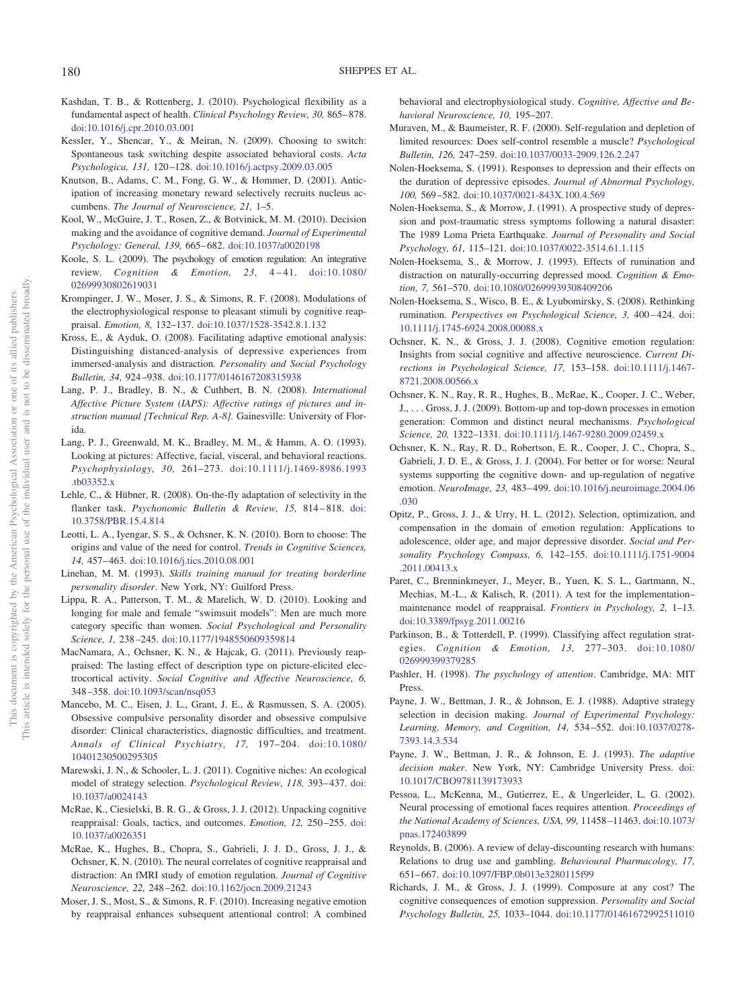- <span id="page-17-11"></span>Kashdan, T. B., & Rottenberg, J. (2010). Psychological flexibility as a fundamental aspect of health. *Clinical Psychology Review, 30,* 865– 878. [doi:10.1016/j.cpr.2010.03.001](http://dx.doi.org/10.1016/j.cpr.2010.03.001)
- <span id="page-17-25"></span>Kessler, Y., Shencar, Y., & Meiran, N. (2009). Choosing to switch: Spontaneous task switching despite associated behavioral costs. *Acta Psychologica, 131,* 120 –128. [doi:10.1016/j.actpsy.2009.03.005](http://dx.doi.org/10.1016/j.actpsy.2009.03.005)
- <span id="page-17-15"></span>Knutson, B., Adams, C. M., Fong, G. W., & Hommer, D. (2001). Anticipation of increasing monetary reward selectively recruits nucleus accumbens. *The Journal of Neuroscience, 21,* 1–5.
- <span id="page-17-23"></span>Kool, W., McGuire, J. T., Rosen, Z., & Botvinick, M. M. (2010). Decision making and the avoidance of cognitive demand. *Journal of Experimental Psychology: General, 139,* 665– 682. [doi:10.1037/a0020198](http://dx.doi.org/10.1037/a0020198)
- <span id="page-17-2"></span>Koole, S. L. (2009). The psychology of emotion regulation: An integrative review. *Cognition & Emotion, 23,* 4 – 41. [doi:10.1080/](http://dx.doi.org/10.1080/02699930802619031) [02699930802619031](http://dx.doi.org/10.1080/02699930802619031)
- <span id="page-17-20"></span>Krompinger, J. W., Moser, J. S., & Simons, R. F. (2008). Modulations of the electrophysiological response to pleasant stimuli by cognitive reappraisal. *Emotion, 8,* 132–137. [doi:10.1037/1528-3542.8.1.132](http://dx.doi.org/10.1037/1528-3542.8.1.132)
- <span id="page-17-7"></span>Kross, E., & Ayduk, O. (2008). Facilitating adaptive emotional analysis: Distinguishing distanced-analysis of depressive experiences from immersed-analysis and distraction. *Personality and Social Psychology Bulletin, 34,* 924 –938. [doi:10.1177/0146167208315938](http://dx.doi.org/10.1177/0146167208315938)
- <span id="page-17-16"></span>Lang, P. J., Bradley, B. N., & Cuthbert, B. N. (2008). *International Affective Picture System (IAPS): Affective ratings of pictures and instruction manual [Technical Rep. A-8].* Gainesville: University of Florida.
- <span id="page-17-21"></span>Lang, P. J., Greenwald, M. K., Bradley, M. M., & Hamm, A. O. (1993). Looking at pictures: Affective, facial, visceral, and behavioral reactions. *Psychophysiology, 30,* 261–273. [doi:10.1111/j.1469-8986.1993](http://dx.doi.org/10.1111/j.1469-8986.1993.tb03352.x) [.tb03352.x](http://dx.doi.org/10.1111/j.1469-8986.1993.tb03352.x)
- <span id="page-17-9"></span>Lehle, C., & Hübner, R. (2008). On-the-fly adaptation of selectivity in the flanker task. *Psychonomic Bulletin & Review, 15, 814-818*. [doi:](http://dx.doi.org/10.3758/PBR.15.4.814) [10.3758/PBR.15.4.814](http://dx.doi.org/10.3758/PBR.15.4.814)
- <span id="page-17-0"></span>Leotti, L. A., Iyengar, S. S., & Ochsner, K. N. (2010). Born to choose: The origins and value of the need for control. *Trends in Cognitive Sciences, 14,* 457– 463. [doi:10.1016/j.tics.2010.08.001](http://dx.doi.org/10.1016/j.tics.2010.08.001)
- <span id="page-17-35"></span>Linehan, M. M. (1993). *Skills training manual for treating borderline personality disorder*. New York, NY: Guilford Press.
- <span id="page-17-22"></span>Lippa, R. A., Patterson, T. M., & Marelich, W. D. (2010). Looking and longing for male and female "swimsuit models": Men are much more category specific than women. *Social Psychological and Personality Science, 1,* 238 –245. [doi:10.1177/1948550609359814](http://dx.doi.org/10.1177/1948550609359814)
- <span id="page-17-12"></span>MacNamara, A., Ochsner, K. N., & Hajcak, G. (2011). Previously reappraised: The lasting effect of description type on picture-elicited electrocortical activity. *Social Cognitive and Affective Neuroscience, 6,* 348 –358. [doi:10.1093/scan/nsq053](http://dx.doi.org/10.1093/scan/nsq053)
- <span id="page-17-34"></span>Mancebo, M. C., Eisen, J. L., Grant, J. E., & Rasmussen, S. A. (2005). Obsessive compulsive personality disorder and obsessive compulsive disorder: Clinical characteristics, diagnostic difficulties, and treatment. *Annals of Clinical Psychiatry, 17,* 197–204. [doi:10.1080/](http://dx.doi.org/10.1080/10401230500295305) [10401230500295305](http://dx.doi.org/10.1080/10401230500295305)
- <span id="page-17-1"></span>Marewski, J. N., & Schooler, L. J. (2011). Cognitive niches: An ecological model of strategy selection. *Psychological Review, 118*, 393-437. [doi:](http://dx.doi.org/10.1037/a0024143) [10.1037/a0024143](http://dx.doi.org/10.1037/a0024143)
- <span id="page-17-26"></span>McRae, K., Ciesielski, B. R. G., & Gross, J. J. (2012). Unpacking cognitive reappraisal: Goals, tactics, and outcomes. *Emotion*, 12, 250-255. [doi:](http://dx.doi.org/10.1037/a0026351) [10.1037/a0026351](http://dx.doi.org/10.1037/a0026351)
- <span id="page-17-17"></span>McRae, K., Hughes, B., Chopra, S., Gabrieli, J. J. D., Gross, J. J., & Ochsner, K. N. (2010). The neural correlates of cognitive reappraisal and distraction: An fMRI study of emotion regulation. *Journal of Cognitive Neuroscience, 22,* 248 –262. [doi:10.1162/jocn.2009.21243](http://dx.doi.org/10.1162/jocn.2009.21243)
- <span id="page-17-27"></span>Moser, J. S., Most, S., & Simons, R. F. (2010). Increasing negative emotion by reappraisal enhances subsequent attentional control: A combined

behavioral and electrophysiological study. *Cognitive, Affective and Behavioral Neuroscience, 10,* 195–207.

- <span id="page-17-13"></span>Muraven, M., & Baumeister, R. F. (2000). Self-regulation and depletion of limited resources: Does self-control resemble a muscle? *Psychological Bulletin, 126,* 247–259. [doi:10.1037/0033-2909.126.2.247](http://dx.doi.org/10.1037/0033-2909.126.2.247)
- <span id="page-17-5"></span>Nolen-Hoeksema, S. (1991). Responses to depression and their effects on the duration of depressive episodes. *Journal of Abnormal Psychology, 100,* 569 –582. [doi:10.1037/0021-843X.100.4.569](http://dx.doi.org/10.1037/0021-843X.100.4.569)
- <span id="page-17-32"></span>Nolen-Hoeksema, S., & Morrow, J. (1991). A prospective study of depression and post-traumatic stress symptoms following a natural disaster: The 1989 Loma Prieta Earthquake. *Journal of Personality and Social Psychology, 61,* 115–121. [doi:10.1037/0022-3514.61.1.115](http://dx.doi.org/10.1037/0022-3514.61.1.115)
- <span id="page-17-33"></span>Nolen-Hoeksema, S., & Morrow, J. (1993). Effects of rumination and distraction on naturally-occurring depressed mood. *Cognition & Emotion, 7,* 561–570. [doi:10.1080/02699939308409206](http://dx.doi.org/10.1080/02699939308409206)
- <span id="page-17-6"></span>Nolen-Hoeksema, S., Wisco, B. E., & Lyubomirsky, S. (2008). Rethinking rumination. Perspectives on Psychological Science, 3, 400-424. [doi:](http://dx.doi.org/10.1111/j.1745-6924.2008.00088.x) [10.1111/j.1745-6924.2008.00088.x](http://dx.doi.org/10.1111/j.1745-6924.2008.00088.x)
- <span id="page-17-19"></span>Ochsner, K. N., & Gross, J. J. (2008). Cognitive emotion regulation: Insights from social cognitive and affective neuroscience. *Current Directions in Psychological Science, 17,* 153–158. [doi:10.1111/j.1467-](http://dx.doi.org/10.1111/j.1467-8721.2008.00566.x) [8721.2008.00566.x](http://dx.doi.org/10.1111/j.1467-8721.2008.00566.x)
- <span id="page-17-14"></span>Ochsner, K. N., Ray, R. R., Hughes, B., McRae, K., Cooper, J. C., Weber, J., . . . Gross, J. J. (2009). Bottom-up and top-down processes in emotion generation: Common and distinct neural mechanisms. *Psychological Science, 20,* 1322–1331. [doi:10.1111/j.1467-9280.2009.02459.x](http://dx.doi.org/10.1111/j.1467-9280.2009.02459.x)
- <span id="page-17-28"></span>Ochsner, K. N., Ray, R. D., Robertson, E. R., Cooper, J. C., Chopra, S., Gabrieli, J. D. E., & Gross, J. J. (2004). For better or for worse: Neural systems supporting the cognitive down- and up-regulation of negative emotion. *NeuroImage, 23,* 483– 499. [doi:10.1016/j.neuroimage.2004.06](http://dx.doi.org/10.1016/j.neuroimage.2004.06.030) [.030](http://dx.doi.org/10.1016/j.neuroimage.2004.06.030)
- <span id="page-17-4"></span>Opitz, P., Gross, J. J., & Urry, H. L. (2012). Selection, optimization, and compensation in the domain of emotion regulation: Applications to adolescence, older age, and major depressive disorder. *Social and Personality Psychology Compass, 6,* 142–155. [doi:10.1111/j.1751-9004](http://dx.doi.org/10.1111/j.1751-9004.2011.00413.x) [.2011.00413.x](http://dx.doi.org/10.1111/j.1751-9004.2011.00413.x)
- <span id="page-17-29"></span>Paret, C., Brenninkmeyer, J., Meyer, B., Yuen, K. S. L., Gartmann, N., Mechias, M.-L., & Kalisch, R. (2011). A test for the implementation– maintenance model of reappraisal. *Frontiers in Psychology, 2,* 1–13. [doi:10.3389/fpsyg.2011.00216](http://dx.doi.org/10.3389/fpsyg.2011.00216)
- <span id="page-17-3"></span>Parkinson, B., & Totterdell, P. (1999). Classifying affect regulation strategies. *Cognition & Emotion, 13,* 277–303. [doi:10.1080/](http://dx.doi.org/10.1080/026999399379285) [026999399379285](http://dx.doi.org/10.1080/026999399379285)
- <span id="page-17-8"></span>Pashler, H. (1998). *The psychology of attention*. Cambridge, MA: MIT Press.
- <span id="page-17-30"></span>Payne, J. W., Bettman, J. R., & Johnson, E. J. (1988). Adaptive strategy selection in decision making. *Journal of Experimental Psychology: Learning, Memory, and Cognition, 14,* 534 –552. [doi:10.1037/0278-](http://dx.doi.org/10.1037/0278-7393.14.3.534) [7393.14.3.534](http://dx.doi.org/10.1037/0278-7393.14.3.534)
- <span id="page-17-31"></span>Payne, J. W., Bettman, J. R., & Johnson, E. J. (1993). *The adaptive decision maker*. New York, NY: Cambridge University Press. [doi:](http://dx.doi.org/10.1017/CBO9781139173933) [10.1017/CBO9781139173933](http://dx.doi.org/10.1017/CBO9781139173933)
- <span id="page-17-24"></span>Pessoa, L., McKenna, M., Gutierrez, E., & Ungerleider, L. G. (2002). Neural processing of emotional faces requires attention. *Proceedings of the National Academy of Sciences, USA, 99,* 11458 –11463. [doi:10.1073/](http://dx.doi.org/10.1073/pnas.172403899) [pnas.172403899](http://dx.doi.org/10.1073/pnas.172403899)
- <span id="page-17-18"></span>Reynolds, B. (2006). A review of delay-discounting research with humans: Relations to drug use and gambling. *Behavioural Pharmacology, 17,* 651– 667. [doi:10.1097/FBP.0b013e3280115f99](http://dx.doi.org/10.1097/FBP.0b013e3280115f99)
- <span id="page-17-10"></span>Richards, J. M., & Gross, J. J. (1999). Composure at any cost? The cognitive consequences of emotion suppression. *Personality and Social Psychology Bulletin, 25,* 1033–1044. [doi:10.1177/01461672992511010](http://dx.doi.org/10.1177/01461672992511010)